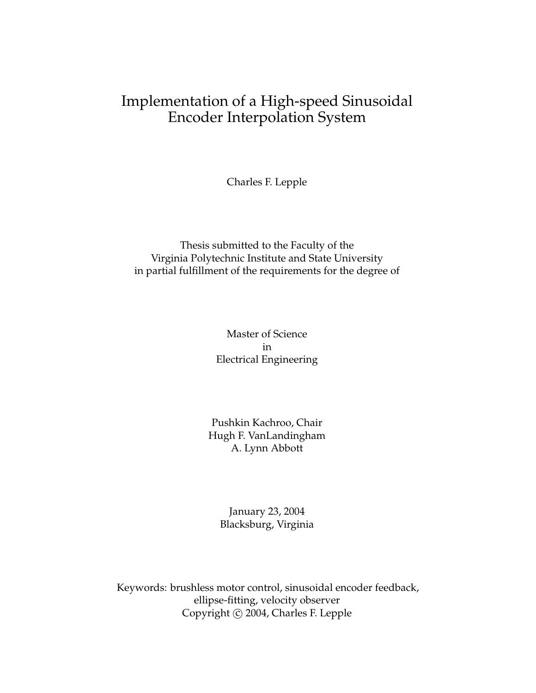### Implementation of a High-speed Sinusoidal Encoder Interpolation System

Charles F. Lepple

#### Thesis submitted to the Faculty of the Virginia Polytechnic Institute and State University in partial fulfillment of the requirements for the degree of

#### Master of Science in Electrical Engineering

#### Pushkin Kachroo, Chair Hugh F. VanLandingham A. Lynn Abbott

#### January 23, 2004 Blacksburg, Virginia

Keywords: brushless motor control, sinusoidal encoder feedback, ellipse-fitting, velocity observer Copyright © 2004, Charles F. Lepple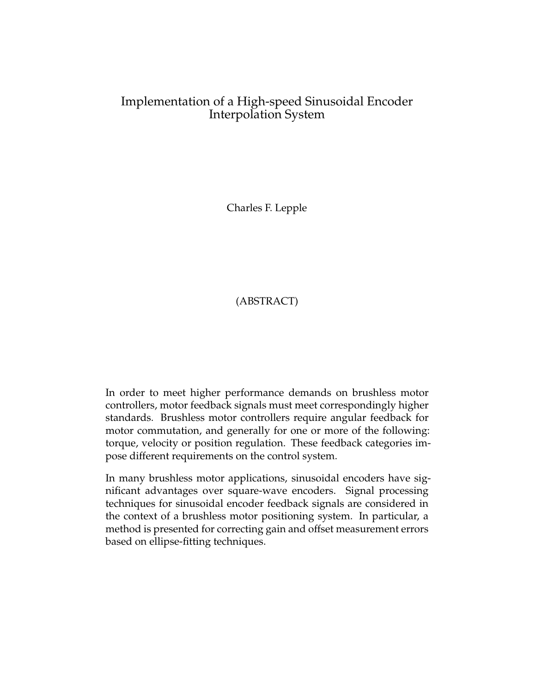#### Implementation of a High-speed Sinusoidal Encoder Interpolation System

Charles F. Lepple

#### (ABSTRACT)

In order to meet higher performance demands on brushless motor controllers, motor feedback signals must meet correspondingly higher standards. Brushless motor controllers require angular feedback for motor commutation, and generally for one or more of the following: torque, velocity or position regulation. These feedback categories impose different requirements on the control system.

In many brushless motor applications, sinusoidal encoders have significant advantages over square-wave encoders. Signal processing techniques for sinusoidal encoder feedback signals are considered in the context of a brushless motor positioning system. In particular, a method is presented for correcting gain and offset measurement errors based on ellipse-fitting techniques.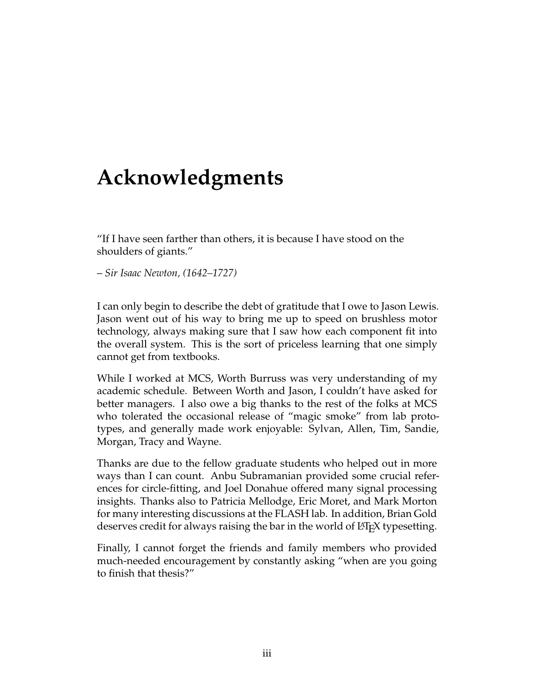## **Acknowledgments**

"If I have seen farther than others, it is because I have stood on the shoulders of giants."

– *Sir Isaac Newton, (1642–1727)*

I can only begin to describe the debt of gratitude that I owe to Jason Lewis. Jason went out of his way to bring me up to speed on brushless motor technology, always making sure that I saw how each component fit into the overall system. This is the sort of priceless learning that one simply cannot get from textbooks.

While I worked at MCS, Worth Burruss was very understanding of my academic schedule. Between Worth and Jason, I couldn't have asked for better managers. I also owe a big thanks to the rest of the folks at MCS who tolerated the occasional release of "magic smoke" from lab prototypes, and generally made work enjoyable: Sylvan, Allen, Tim, Sandie, Morgan, Tracy and Wayne.

Thanks are due to the fellow graduate students who helped out in more ways than I can count. Anbu Subramanian provided some crucial references for circle-fitting, and Joel Donahue offered many signal processing insights. Thanks also to Patricia Mellodge, Eric Moret, and Mark Morton for many interesting discussions at the FLASH lab. In addition, Brian Gold deserves credit for always raising the bar in the world of LATEX typesetting.

Finally, I cannot forget the friends and family members who provided much-needed encouragement by constantly asking "when are you going to finish that thesis?"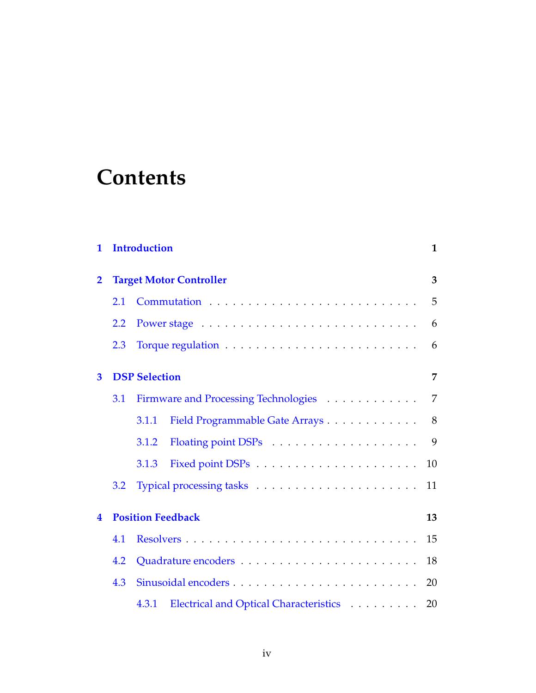# **Contents**

| 1                       |                                | <b>Introduction</b>  |                                        |                |  |  |
|-------------------------|--------------------------------|----------------------|----------------------------------------|----------------|--|--|
| $\overline{\mathbf{2}}$ | <b>Target Motor Controller</b> | 3                    |                                        |                |  |  |
|                         | 2.1                            |                      |                                        |                |  |  |
|                         | 2.2                            |                      |                                        | 6              |  |  |
|                         | 2.3                            |                      |                                        | 6              |  |  |
| 3                       |                                | <b>DSP Selection</b> |                                        | 7              |  |  |
|                         | 3.1                            |                      | Firmware and Processing Technologies   | $\overline{7}$ |  |  |
|                         |                                | 3.1.1                | Field Programmable Gate Arrays         | 8              |  |  |
|                         |                                | 3.1.2                |                                        | 9              |  |  |
|                         |                                | 3.1.3                |                                        | 10             |  |  |
|                         | $3.2\phantom{0}$               |                      |                                        | 11             |  |  |
| 4                       | <b>Position Feedback</b>       |                      |                                        |                |  |  |
|                         | 4.1                            |                      |                                        | 15             |  |  |
|                         | 4.2                            |                      |                                        | 18             |  |  |
|                         | 4.3                            |                      |                                        | 20             |  |  |
|                         |                                | 4.3.1                | Electrical and Optical Characteristics | 20             |  |  |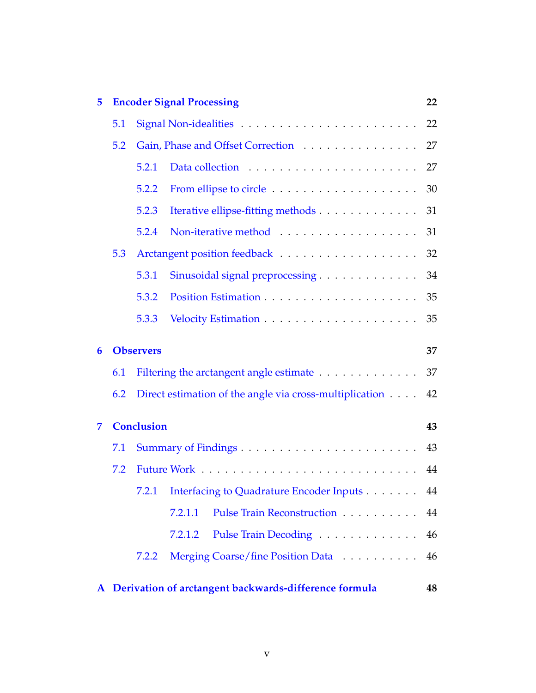| 5 |     |                   | <b>Encoder Signal Processing</b>                        | 22 |
|---|-----|-------------------|---------------------------------------------------------|----|
|   | 5.1 |                   |                                                         |    |
|   | 5.2 |                   | Gain, Phase and Offset Correction                       | 27 |
|   |     | 5.2.1             |                                                         | 27 |
|   |     | 5.2.2             |                                                         | 30 |
|   |     | 5.2.3             | Iterative ellipse-fitting methods                       | 31 |
|   |     | 5.2.4             |                                                         | 31 |
|   | 5.3 |                   |                                                         | 32 |
|   |     | 5.3.1             | Sinusoidal signal preprocessing                         | 34 |
|   |     | 5.3.2             |                                                         | 35 |
|   |     | 5.3.3             |                                                         | 35 |
| 6 |     | <b>Observers</b>  |                                                         | 37 |
|   | 6.1 |                   | Filtering the arctangent angle estimate                 | 37 |
|   | 6.2 |                   | Direct estimation of the angle via cross-multiplication | 42 |
| 7 |     | <b>Conclusion</b> |                                                         | 43 |
|   | 7.1 |                   |                                                         | 43 |
|   | 7.2 |                   |                                                         | 44 |
|   |     | 7.2.1             | Interfacing to Quadrature Encoder Inputs 44             |    |
|   |     |                   | Pulse Train Reconstruction<br>7.2.1.1                   | 44 |
|   |     |                   | Pulse Train Decoding<br>7.2.1.2                         | 46 |
|   |     | 7.2.2             | Merging Coarse/fine Position Data                       | 46 |
|   |     |                   | A Derivation of arctangent backwards-difference formula | 48 |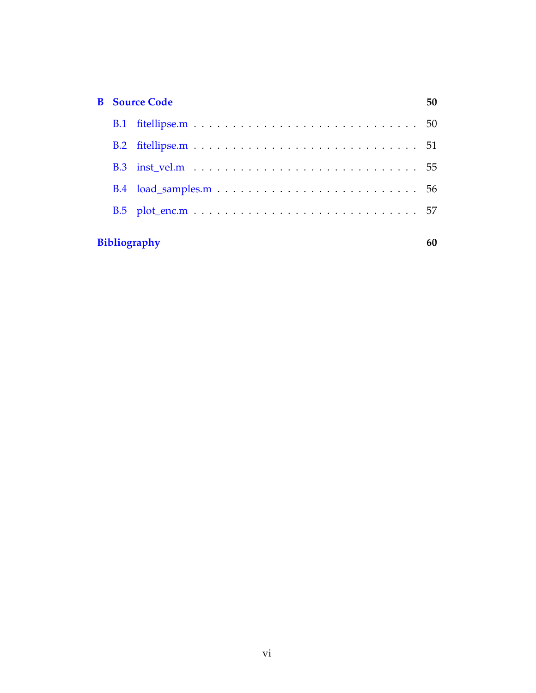| B. | <b>Source Code</b>  |  |  |  |  |  |  |  |
|----|---------------------|--|--|--|--|--|--|--|
|    |                     |  |  |  |  |  |  |  |
|    |                     |  |  |  |  |  |  |  |
|    |                     |  |  |  |  |  |  |  |
|    |                     |  |  |  |  |  |  |  |
|    |                     |  |  |  |  |  |  |  |
|    |                     |  |  |  |  |  |  |  |
|    | <b>Bibliography</b> |  |  |  |  |  |  |  |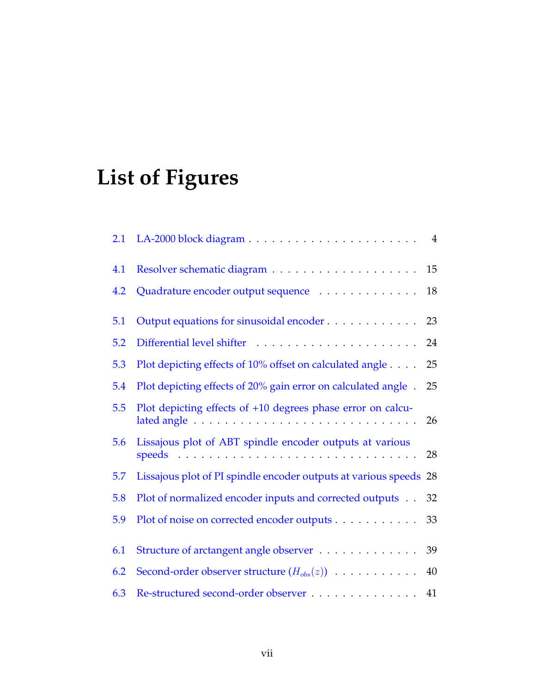# **List of Figures**

| 4.1 |                                                                   | 15 |
|-----|-------------------------------------------------------------------|----|
| 4.2 | Quadrature encoder output sequence                                | 18 |
| 5.1 | Output equations for sinusoidal encoder                           | 23 |
| 5.2 |                                                                   | 24 |
| 5.3 | Plot depicting effects of 10% offset on calculated angle          | 25 |
| 5.4 | Plot depicting effects of 20% gain error on calculated angle.     | 25 |
| 5.5 | Plot depicting effects of +10 degrees phase error on calcu-       | 26 |
| 5.6 | Lissajous plot of ABT spindle encoder outputs at various          | 28 |
| 5.7 | Lissajous plot of PI spindle encoder outputs at various speeds 28 |    |
| 5.8 | Plot of normalized encoder inputs and corrected outputs 32        |    |
| 5.9 | Plot of noise on corrected encoder outputs 33                     |    |
| 6.1 | Structure of arctangent angle observer                            | 39 |
| 6.2 | Second-order observer structure $(H_{obs}(z))$                    | 40 |
| 6.3 | Re-structured second-order observer 41                            |    |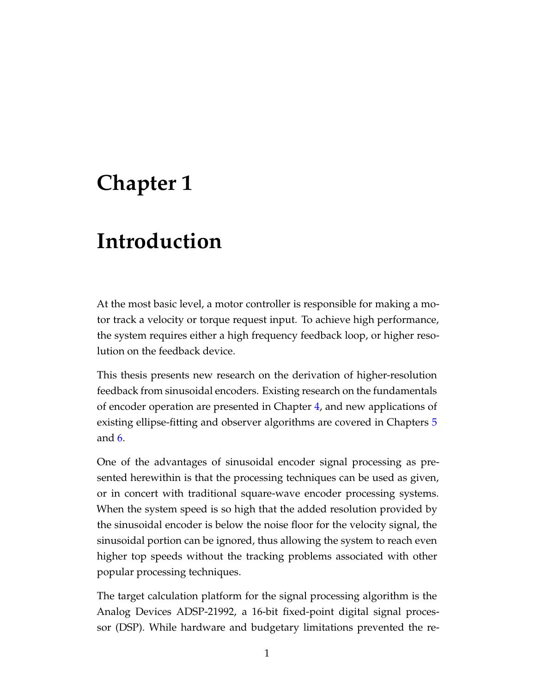## <span id="page-7-0"></span>**Chapter 1**

## **Introduction**

At the most basic level, a motor controller is responsible for making a motor track a velocity or torque request input. To achieve high performance, the system requires either a high frequency feedback loop, or higher resolution on the feedback device.

This thesis presents new research on the derivation of higher-resolution feedback from sinusoidal encoders. Existing research on the fundamentals of encoder operation are presented in Chapter [4,](#page-19-0) and new applications of existing ellipse-fitting and observer algorithms are covered in Chapters [5](#page-28-0) and [6.](#page-43-0)

One of the advantages of sinusoidal encoder signal processing as presented herewithin is that the processing techniques can be used as given, or in concert with traditional square-wave encoder processing systems. When the system speed is so high that the added resolution provided by the sinusoidal encoder is below the noise floor for the velocity signal, the sinusoidal portion can be ignored, thus allowing the system to reach even higher top speeds without the tracking problems associated with other popular processing techniques.

The target calculation platform for the signal processing algorithm is the Analog Devices ADSP-21992, a 16-bit fixed-point digital signal processor (DSP). While hardware and budgetary limitations prevented the re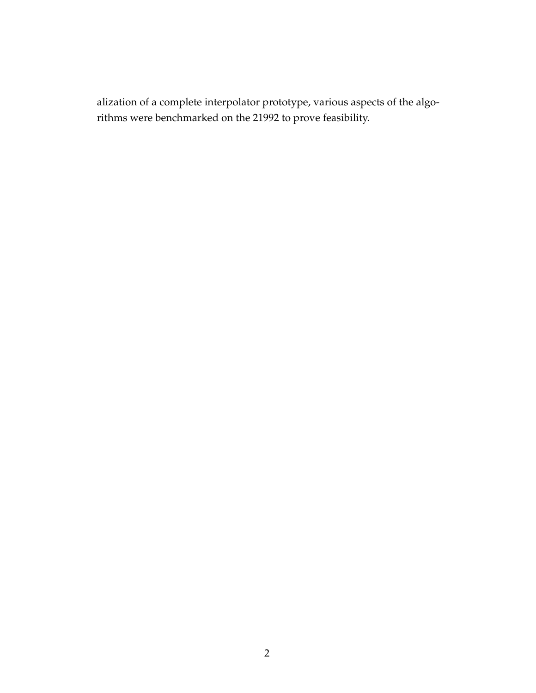alization of a complete interpolator prototype, various aspects of the algorithms were benchmarked on the 21992 to prove feasibility.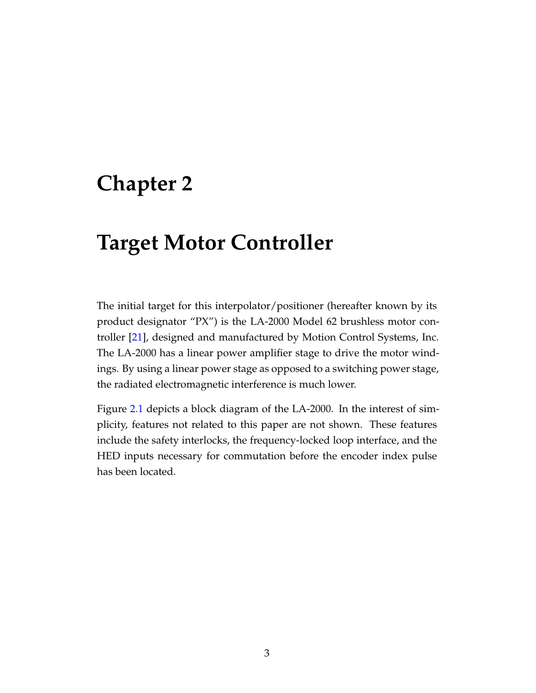## <span id="page-9-0"></span>**Chapter 2**

## **Target Motor Controller**

The initial target for this interpolator/positioner (hereafter known by its product designator "PX") is the LA-2000 Model 62 brushless motor controller [\[21\]](#page-66-0), designed and manufactured by Motion Control Systems, Inc. The LA-2000 has a linear power amplifier stage to drive the motor windings. By using a linear power stage as opposed to a switching power stage, the radiated electromagnetic interference is much lower.

Figure [2.1](#page-10-0) depicts a block diagram of the LA-2000. In the interest of simplicity, features not related to this paper are not shown. These features include the safety interlocks, the frequency-locked loop interface, and the HED inputs necessary for commutation before the encoder index pulse has been located.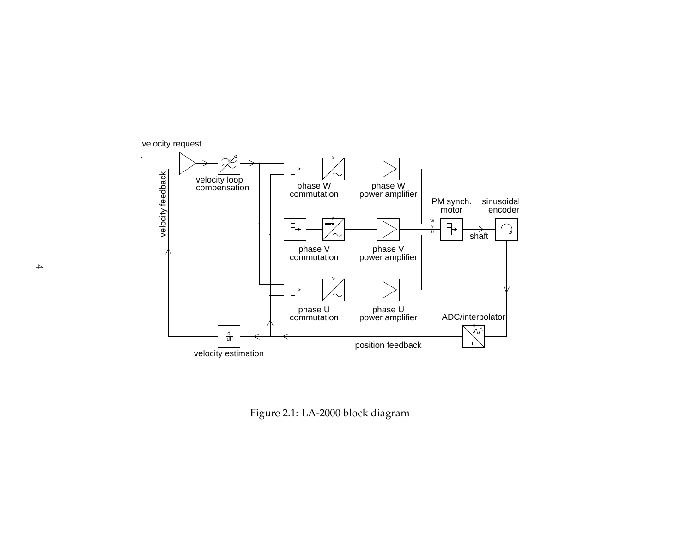

<span id="page-10-0"></span>Figure 2.1: LA-2000 block diagram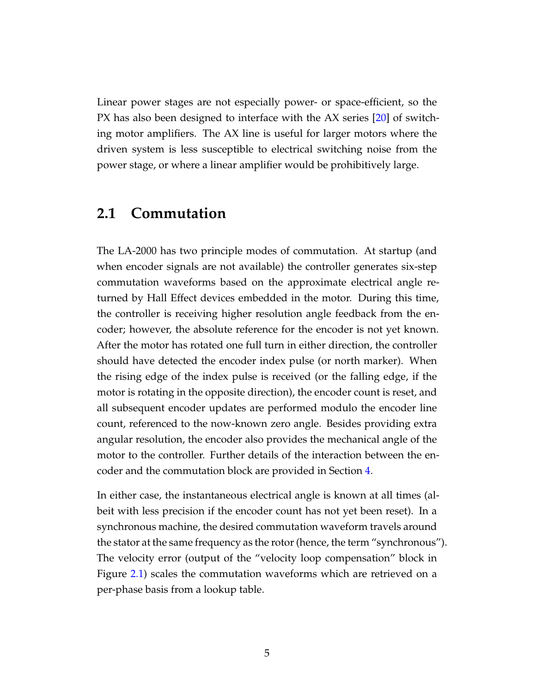Linear power stages are not especially power- or space-efficient, so the PX has also been designed to interface with the AX series [\[20\]](#page-66-1) of switching motor amplifiers. The AX line is useful for larger motors where the driven system is less susceptible to electrical switching noise from the power stage, or where a linear amplifier would be prohibitively large.

### <span id="page-11-0"></span>**2.1 Commutation**

The LA-2000 has two principle modes of commutation. At startup (and when encoder signals are not available) the controller generates six-step commutation waveforms based on the approximate electrical angle returned by Hall Effect devices embedded in the motor. During this time, the controller is receiving higher resolution angle feedback from the encoder; however, the absolute reference for the encoder is not yet known. After the motor has rotated one full turn in either direction, the controller should have detected the encoder index pulse (or north marker). When the rising edge of the index pulse is received (or the falling edge, if the motor is rotating in the opposite direction), the encoder count is reset, and all subsequent encoder updates are performed modulo the encoder line count, referenced to the now-known zero angle. Besides providing extra angular resolution, the encoder also provides the mechanical angle of the motor to the controller. Further details of the interaction between the encoder and the commutation block are provided in Section [4.](#page-19-0)

In either case, the instantaneous electrical angle is known at all times (albeit with less precision if the encoder count has not yet been reset). In a synchronous machine, the desired commutation waveform travels around the stator at the same frequency as the rotor (hence, the term "synchronous"). The velocity error (output of the "velocity loop compensation" block in Figure [2.1\)](#page-10-0) scales the commutation waveforms which are retrieved on a per-phase basis from a lookup table.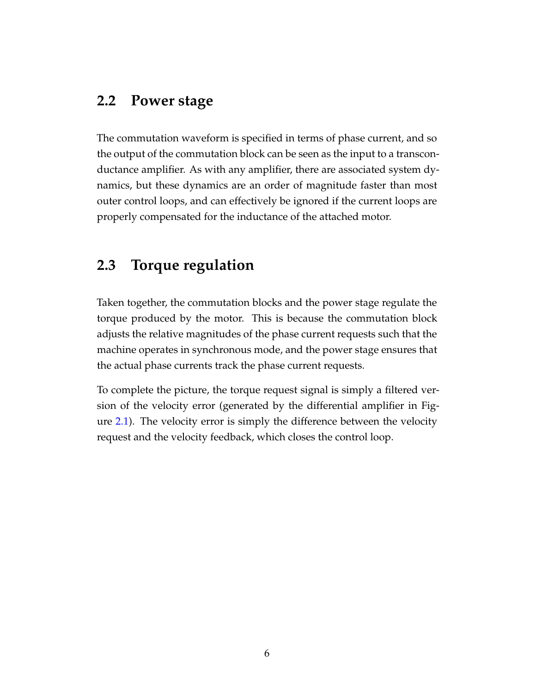### <span id="page-12-0"></span>**2.2 Power stage**

The commutation waveform is specified in terms of phase current, and so the output of the commutation block can be seen as the input to a transconductance amplifier. As with any amplifier, there are associated system dynamics, but these dynamics are an order of magnitude faster than most outer control loops, and can effectively be ignored if the current loops are properly compensated for the inductance of the attached motor.

### <span id="page-12-1"></span>**2.3 Torque regulation**

Taken together, the commutation blocks and the power stage regulate the torque produced by the motor. This is because the commutation block adjusts the relative magnitudes of the phase current requests such that the machine operates in synchronous mode, and the power stage ensures that the actual phase currents track the phase current requests.

To complete the picture, the torque request signal is simply a filtered version of the velocity error (generated by the differential amplifier in Figure [2.1\)](#page-10-0). The velocity error is simply the difference between the velocity request and the velocity feedback, which closes the control loop.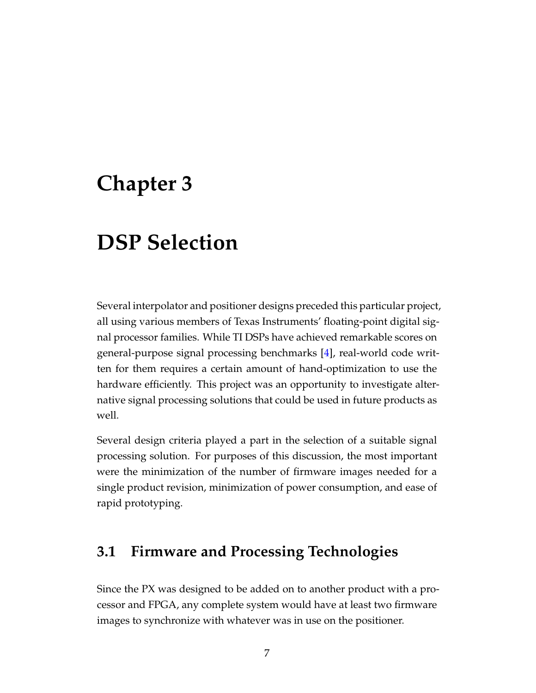## <span id="page-13-0"></span>**Chapter 3**

## **DSP Selection**

Several interpolator and positioner designs preceded this particular project, all using various members of Texas Instruments' floating-point digital signal processor families. While TI DSPs have achieved remarkable scores on general-purpose signal processing benchmarks [\[4\]](#page-64-1), real-world code written for them requires a certain amount of hand-optimization to use the hardware efficiently. This project was an opportunity to investigate alternative signal processing solutions that could be used in future products as well.

Several design criteria played a part in the selection of a suitable signal processing solution. For purposes of this discussion, the most important were the minimization of the number of firmware images needed for a single product revision, minimization of power consumption, and ease of rapid prototyping.

### <span id="page-13-1"></span>**3.1 Firmware and Processing Technologies**

Since the PX was designed to be added on to another product with a processor and FPGA, any complete system would have at least two firmware images to synchronize with whatever was in use on the positioner.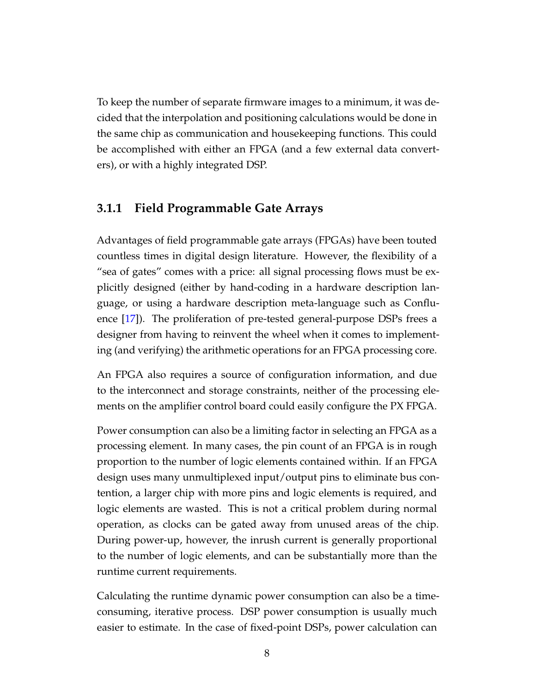To keep the number of separate firmware images to a minimum, it was decided that the interpolation and positioning calculations would be done in the same chip as communication and housekeeping functions. This could be accomplished with either an FPGA (and a few external data converters), or with a highly integrated DSP.

#### <span id="page-14-0"></span>**3.1.1 Field Programmable Gate Arrays**

Advantages of field programmable gate arrays (FPGAs) have been touted countless times in digital design literature. However, the flexibility of a "sea of gates" comes with a price: all signal processing flows must be explicitly designed (either by hand-coding in a hardware description language, or using a hardware description meta-language such as Confluence [\[17\]](#page-65-0)). The proliferation of pre-tested general-purpose DSPs frees a designer from having to reinvent the wheel when it comes to implementing (and verifying) the arithmetic operations for an FPGA processing core.

An FPGA also requires a source of configuration information, and due to the interconnect and storage constraints, neither of the processing elements on the amplifier control board could easily configure the PX FPGA.

Power consumption can also be a limiting factor in selecting an FPGA as a processing element. In many cases, the pin count of an FPGA is in rough proportion to the number of logic elements contained within. If an FPGA design uses many unmultiplexed input/output pins to eliminate bus contention, a larger chip with more pins and logic elements is required, and logic elements are wasted. This is not a critical problem during normal operation, as clocks can be gated away from unused areas of the chip. During power-up, however, the inrush current is generally proportional to the number of logic elements, and can be substantially more than the runtime current requirements.

Calculating the runtime dynamic power consumption can also be a timeconsuming, iterative process. DSP power consumption is usually much easier to estimate. In the case of fixed-point DSPs, power calculation can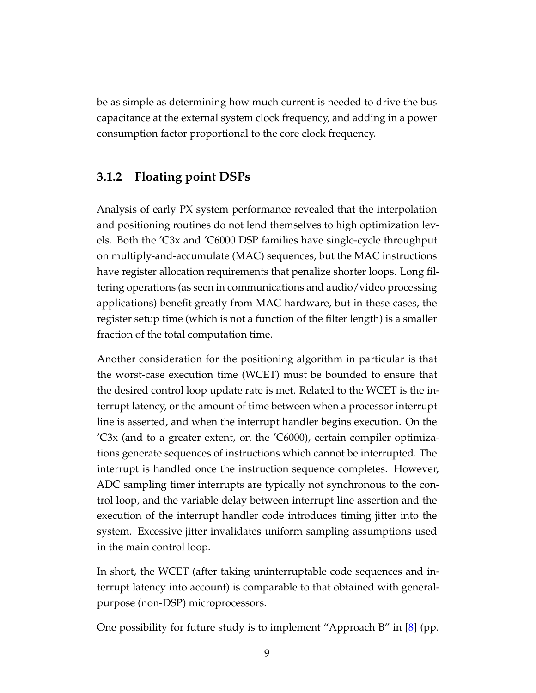be as simple as determining how much current is needed to drive the bus capacitance at the external system clock frequency, and adding in a power consumption factor proportional to the core clock frequency.

### <span id="page-15-0"></span>**3.1.2 Floating point DSPs**

Analysis of early PX system performance revealed that the interpolation and positioning routines do not lend themselves to high optimization levels. Both the 'C3x and 'C6000 DSP families have single-cycle throughput on multiply-and-accumulate (MAC) sequences, but the MAC instructions have register allocation requirements that penalize shorter loops. Long filtering operations (as seen in communications and audio/video processing applications) benefit greatly from MAC hardware, but in these cases, the register setup time (which is not a function of the filter length) is a smaller fraction of the total computation time.

Another consideration for the positioning algorithm in particular is that the worst-case execution time (WCET) must be bounded to ensure that the desired control loop update rate is met. Related to the WCET is the interrupt latency, or the amount of time between when a processor interrupt line is asserted, and when the interrupt handler begins execution. On the 'C3x (and to a greater extent, on the 'C6000), certain compiler optimizations generate sequences of instructions which cannot be interrupted. The interrupt is handled once the instruction sequence completes. However, ADC sampling timer interrupts are typically not synchronous to the control loop, and the variable delay between interrupt line assertion and the execution of the interrupt handler code introduces timing jitter into the system. Excessive jitter invalidates uniform sampling assumptions used in the main control loop.

In short, the WCET (after taking uninterruptable code sequences and interrupt latency into account) is comparable to that obtained with generalpurpose (non-DSP) microprocessors.

One possibility for future study is to implement "Approach B" in [\[8\]](#page-64-2) (pp.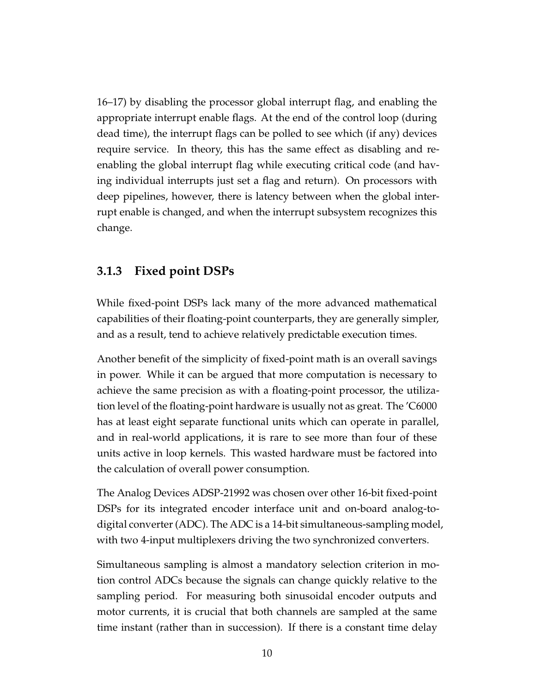16–17) by disabling the processor global interrupt flag, and enabling the appropriate interrupt enable flags. At the end of the control loop (during dead time), the interrupt flags can be polled to see which (if any) devices require service. In theory, this has the same effect as disabling and reenabling the global interrupt flag while executing critical code (and having individual interrupts just set a flag and return). On processors with deep pipelines, however, there is latency between when the global interrupt enable is changed, and when the interrupt subsystem recognizes this change.

### <span id="page-16-0"></span>**3.1.3 Fixed point DSPs**

While fixed-point DSPs lack many of the more advanced mathematical capabilities of their floating-point counterparts, they are generally simpler, and as a result, tend to achieve relatively predictable execution times.

Another benefit of the simplicity of fixed-point math is an overall savings in power. While it can be argued that more computation is necessary to achieve the same precision as with a floating-point processor, the utilization level of the floating-point hardware is usually not as great. The 'C6000 has at least eight separate functional units which can operate in parallel, and in real-world applications, it is rare to see more than four of these units active in loop kernels. This wasted hardware must be factored into the calculation of overall power consumption.

The Analog Devices ADSP-21992 was chosen over other 16-bit fixed-point DSPs for its integrated encoder interface unit and on-board analog-todigital converter (ADC). The ADC is a 14-bit simultaneous-sampling model, with two 4-input multiplexers driving the two synchronized converters.

Simultaneous sampling is almost a mandatory selection criterion in motion control ADCs because the signals can change quickly relative to the sampling period. For measuring both sinusoidal encoder outputs and motor currents, it is crucial that both channels are sampled at the same time instant (rather than in succession). If there is a constant time delay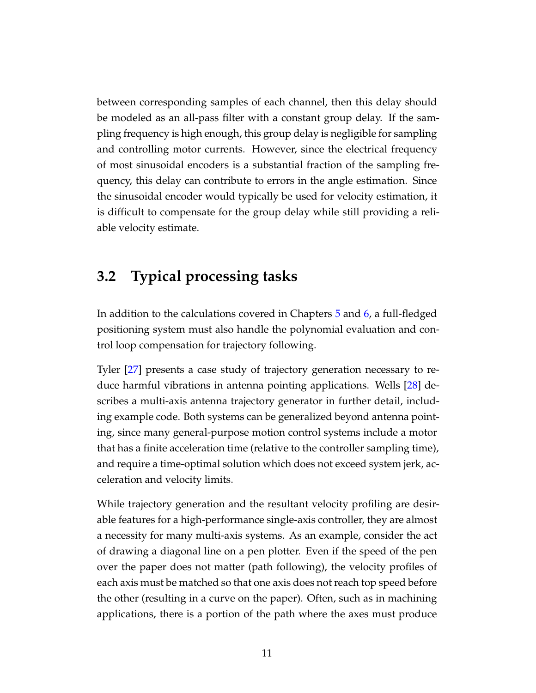between corresponding samples of each channel, then this delay should be modeled as an all-pass filter with a constant group delay. If the sampling frequency is high enough, this group delay is negligible for sampling and controlling motor currents. However, since the electrical frequency of most sinusoidal encoders is a substantial fraction of the sampling frequency, this delay can contribute to errors in the angle estimation. Since the sinusoidal encoder would typically be used for velocity estimation, it is difficult to compensate for the group delay while still providing a reliable velocity estimate.

## <span id="page-17-0"></span>**3.2 Typical processing tasks**

In addition to the calculations covered in Chapters [5](#page-28-0) and [6,](#page-43-0) a full-fledged positioning system must also handle the polynomial evaluation and control loop compensation for trajectory following.

Tyler [\[27\]](#page-66-2) presents a case study of trajectory generation necessary to reduce harmful vibrations in antenna pointing applications. Wells [\[28\]](#page-66-3) describes a multi-axis antenna trajectory generator in further detail, including example code. Both systems can be generalized beyond antenna pointing, since many general-purpose motion control systems include a motor that has a finite acceleration time (relative to the controller sampling time), and require a time-optimal solution which does not exceed system jerk, acceleration and velocity limits.

While trajectory generation and the resultant velocity profiling are desirable features for a high-performance single-axis controller, they are almost a necessity for many multi-axis systems. As an example, consider the act of drawing a diagonal line on a pen plotter. Even if the speed of the pen over the paper does not matter (path following), the velocity profiles of each axis must be matched so that one axis does not reach top speed before the other (resulting in a curve on the paper). Often, such as in machining applications, there is a portion of the path where the axes must produce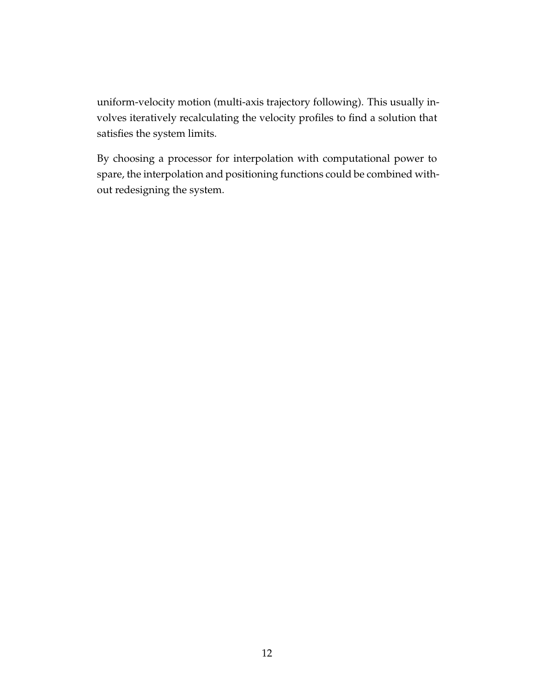uniform-velocity motion (multi-axis trajectory following). This usually involves iteratively recalculating the velocity profiles to find a solution that satisfies the system limits.

By choosing a processor for interpolation with computational power to spare, the interpolation and positioning functions could be combined without redesigning the system.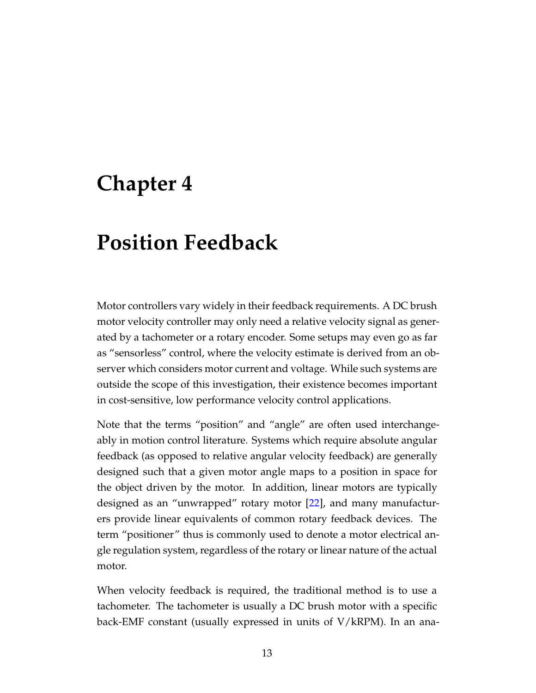## <span id="page-19-0"></span>**Chapter 4**

## **Position Feedback**

Motor controllers vary widely in their feedback requirements. A DC brush motor velocity controller may only need a relative velocity signal as generated by a tachometer or a rotary encoder. Some setups may even go as far as "sensorless" control, where the velocity estimate is derived from an observer which considers motor current and voltage. While such systems are outside the scope of this investigation, their existence becomes important in cost-sensitive, low performance velocity control applications.

Note that the terms "position" and "angle" are often used interchangeably in motion control literature. Systems which require absolute angular feedback (as opposed to relative angular velocity feedback) are generally designed such that a given motor angle maps to a position in space for the object driven by the motor. In addition, linear motors are typically designed as an "unwrapped" rotary motor [\[22\]](#page-66-4), and many manufacturers provide linear equivalents of common rotary feedback devices. The term "positioner" thus is commonly used to denote a motor electrical angle regulation system, regardless of the rotary or linear nature of the actual motor.

When velocity feedback is required, the traditional method is to use a tachometer. The tachometer is usually a DC brush motor with a specific back-EMF constant (usually expressed in units of V/kRPM). In an ana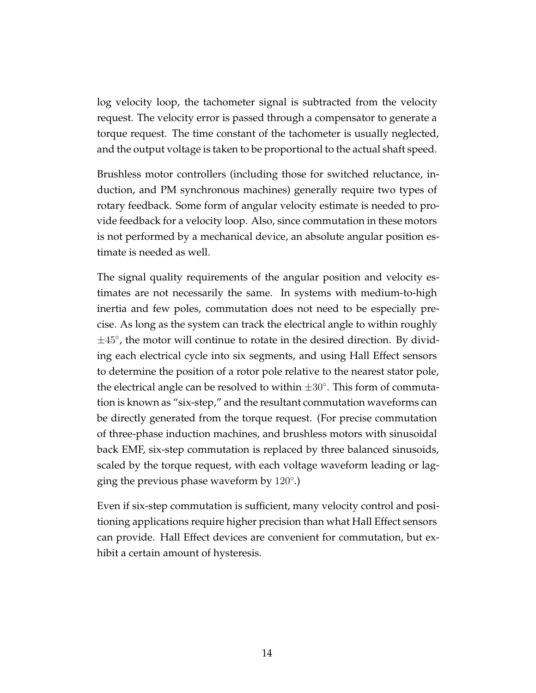log velocity loop, the tachometer signal is subtracted from the velocity request. The velocity error is passed through a compensator to generate a torque request. The time constant of the tachometer is usually neglected, and the output voltage is taken to be proportional to the actual shaft speed.

Brushless motor controllers (including those for switched reluctance, induction, and PM synchronous machines) generally require two types of rotary feedback. Some form of angular velocity estimate is needed to provide feedback for a velocity loop. Also, since commutation in these motors is not performed by a mechanical device, an absolute angular position estimate is needed as well.

The signal quality requirements of the angular position and velocity estimates are not necessarily the same. In systems with medium-to-high inertia and few poles, commutation does not need to be especially precise. As long as the system can track the electrical angle to within roughly ±45◦ , the motor will continue to rotate in the desired direction. By dividing each electrical cycle into six segments, and using Hall Effect sensors to determine the position of a rotor pole relative to the nearest stator pole, the electrical angle can be resolved to within  $\pm 30^{\circ}$ . This form of commutation is known as "six-step," and the resultant commutation waveforms can be directly generated from the torque request. (For precise commutation of three-phase induction machines, and brushless motors with sinusoidal back EMF, six-step commutation is replaced by three balanced sinusoids, scaled by the torque request, with each voltage waveform leading or lagging the previous phase waveform by 120°.)

Even if six-step commutation is sufficient, many velocity control and positioning applications require higher precision than what Hall Effect sensors can provide. Hall Effect devices are convenient for commutation, but exhibit a certain amount of hysteresis.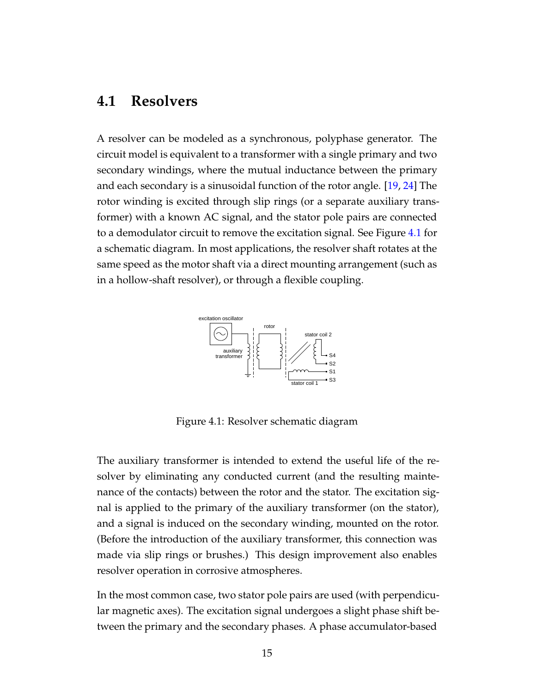### <span id="page-21-0"></span>**4.1 Resolvers**

A resolver can be modeled as a synchronous, polyphase generator. The circuit model is equivalent to a transformer with a single primary and two secondary windings, where the mutual inductance between the primary and each secondary is a sinusoidal function of the rotor angle. [\[19,](#page-65-1) [24\]](#page-66-5) The rotor winding is excited through slip rings (or a separate auxiliary transformer) with a known AC signal, and the stator pole pairs are connected to a demodulator circuit to remove the excitation signal. See Figure [4.1](#page-21-1) for a schematic diagram. In most applications, the resolver shaft rotates at the same speed as the motor shaft via a direct mounting arrangement (such as in a hollow-shaft resolver), or through a flexible coupling.



<span id="page-21-1"></span>Figure 4.1: Resolver schematic diagram

The auxiliary transformer is intended to extend the useful life of the resolver by eliminating any conducted current (and the resulting maintenance of the contacts) between the rotor and the stator. The excitation signal is applied to the primary of the auxiliary transformer (on the stator), and a signal is induced on the secondary winding, mounted on the rotor. (Before the introduction of the auxiliary transformer, this connection was made via slip rings or brushes.) This design improvement also enables resolver operation in corrosive atmospheres.

In the most common case, two stator pole pairs are used (with perpendicular magnetic axes). The excitation signal undergoes a slight phase shift between the primary and the secondary phases. A phase accumulator-based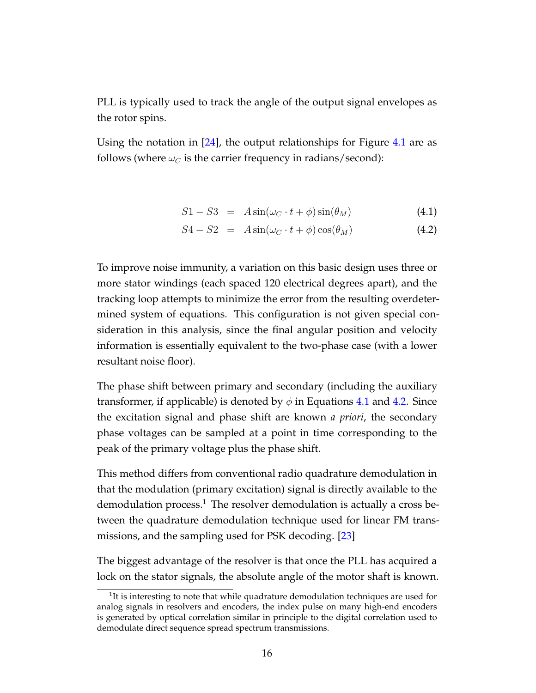PLL is typically used to track the angle of the output signal envelopes as the rotor spins.

Using the notation in [\[24\]](#page-66-5), the output relationships for Figure [4.1](#page-21-1) are as follows (where  $\omega_C$  is the carrier frequency in radians/second):

<span id="page-22-0"></span>
$$
S1 - S3 = A\sin(\omega_C \cdot t + \phi)\sin(\theta_M) \tag{4.1}
$$

$$
S4 - S2 = A\sin(\omega_C \cdot t + \phi)\cos(\theta_M) \tag{4.2}
$$

To improve noise immunity, a variation on this basic design uses three or more stator windings (each spaced 120 electrical degrees apart), and the tracking loop attempts to minimize the error from the resulting overdetermined system of equations. This configuration is not given special consideration in this analysis, since the final angular position and velocity information is essentially equivalent to the two-phase case (with a lower resultant noise floor).

The phase shift between primary and secondary (including the auxiliary transformer, if applicable) is denoted by  $\phi$  in Equations [4.1](#page-22-0) and [4.2.](#page-22-0) Since the excitation signal and phase shift are known *a priori*, the secondary phase voltages can be sampled at a point in time corresponding to the peak of the primary voltage plus the phase shift.

This method differs from conventional radio quadrature demodulation in that the modulation (primary excitation) signal is directly available to the demodulation process.<sup>1</sup> The resolver demodulation is actually a cross between the quadrature demodulation technique used for linear FM transmissions, and the sampling used for PSK decoding. [\[23\]](#page-66-6)

The biggest advantage of the resolver is that once the PLL has acquired a lock on the stator signals, the absolute angle of the motor shaft is known.

 $1$ It is interesting to note that while quadrature demodulation techniques are used for analog signals in resolvers and encoders, the index pulse on many high-end encoders is generated by optical correlation similar in principle to the digital correlation used to demodulate direct sequence spread spectrum transmissions.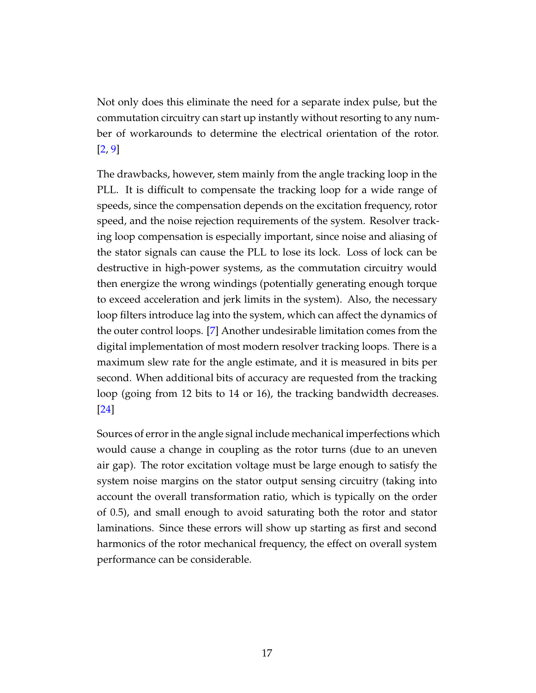Not only does this eliminate the need for a separate index pulse, but the commutation circuitry can start up instantly without resorting to any number of workarounds to determine the electrical orientation of the rotor. [\[2,](#page-64-3) [9\]](#page-65-2)

The drawbacks, however, stem mainly from the angle tracking loop in the PLL. It is difficult to compensate the tracking loop for a wide range of speeds, since the compensation depends on the excitation frequency, rotor speed, and the noise rejection requirements of the system. Resolver tracking loop compensation is especially important, since noise and aliasing of the stator signals can cause the PLL to lose its lock. Loss of lock can be destructive in high-power systems, as the commutation circuitry would then energize the wrong windings (potentially generating enough torque to exceed acceleration and jerk limits in the system). Also, the necessary loop filters introduce lag into the system, which can affect the dynamics of the outer control loops. [\[7\]](#page-64-4) Another undesirable limitation comes from the digital implementation of most modern resolver tracking loops. There is a maximum slew rate for the angle estimate, and it is measured in bits per second. When additional bits of accuracy are requested from the tracking loop (going from 12 bits to 14 or 16), the tracking bandwidth decreases. [\[24\]](#page-66-5)

Sources of error in the angle signal include mechanical imperfections which would cause a change in coupling as the rotor turns (due to an uneven air gap). The rotor excitation voltage must be large enough to satisfy the system noise margins on the stator output sensing circuitry (taking into account the overall transformation ratio, which is typically on the order of 0.5), and small enough to avoid saturating both the rotor and stator laminations. Since these errors will show up starting as first and second harmonics of the rotor mechanical frequency, the effect on overall system performance can be considerable.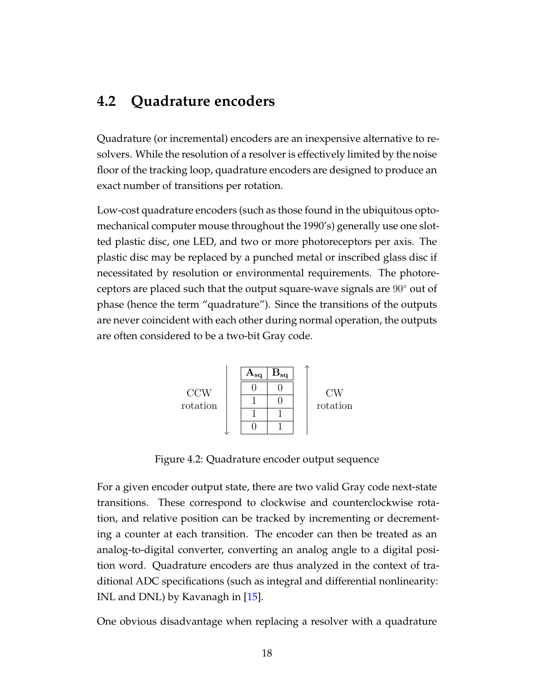### <span id="page-24-0"></span>**4.2 Quadrature encoders**

Quadrature (or incremental) encoders are an inexpensive alternative to resolvers. While the resolution of a resolver is effectively limited by the noise floor of the tracking loop, quadrature encoders are designed to produce an exact number of transitions per rotation.

Low-cost quadrature encoders (such as those found in the ubiquitous optomechanical computer mouse throughout the 1990's) generally use one slotted plastic disc, one LED, and two or more photoreceptors per axis. The plastic disc may be replaced by a punched metal or inscribed glass disc if necessitated by resolution or environmental requirements. The photoreceptors are placed such that the output square-wave signals are 90◦ out of phase (hence the term "quadrature"). Since the transitions of the outputs are never coincident with each other during normal operation, the outputs are often considered to be a two-bit Gray code.



<span id="page-24-1"></span>Figure 4.2: Quadrature encoder output sequence

For a given encoder output state, there are two valid Gray code next-state transitions. These correspond to clockwise and counterclockwise rotation, and relative position can be tracked by incrementing or decrementing a counter at each transition. The encoder can then be treated as an analog-to-digital converter, converting an analog angle to a digital position word. Quadrature encoders are thus analyzed in the context of traditional ADC specifications (such as integral and differential nonlinearity: INL and DNL) by Kavanagh in [\[15\]](#page-65-3).

One obvious disadvantage when replacing a resolver with a quadrature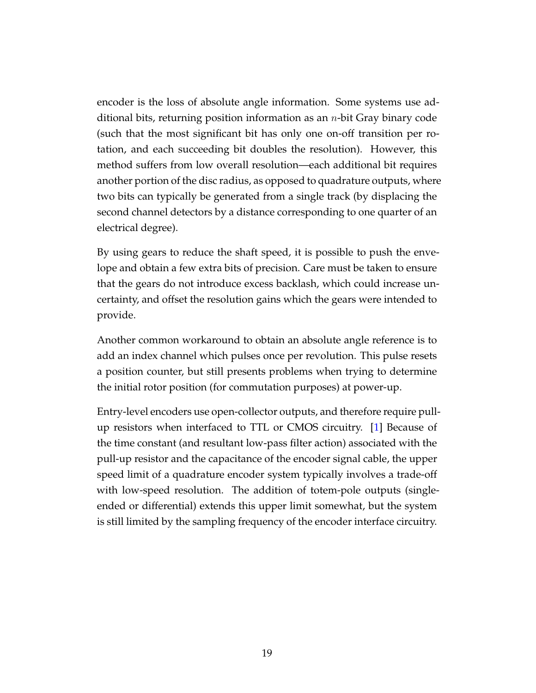encoder is the loss of absolute angle information. Some systems use additional bits, returning position information as an  $n$ -bit Gray binary code (such that the most significant bit has only one on-off transition per rotation, and each succeeding bit doubles the resolution). However, this method suffers from low overall resolution—each additional bit requires another portion of the disc radius, as opposed to quadrature outputs, where two bits can typically be generated from a single track (by displacing the second channel detectors by a distance corresponding to one quarter of an electrical degree).

By using gears to reduce the shaft speed, it is possible to push the envelope and obtain a few extra bits of precision. Care must be taken to ensure that the gears do not introduce excess backlash, which could increase uncertainty, and offset the resolution gains which the gears were intended to provide.

Another common workaround to obtain an absolute angle reference is to add an index channel which pulses once per revolution. This pulse resets a position counter, but still presents problems when trying to determine the initial rotor position (for commutation purposes) at power-up.

Entry-level encoders use open-collector outputs, and therefore require pullup resistors when interfaced to TTL or CMOS circuitry. [\[1\]](#page-64-0) Because of the time constant (and resultant low-pass filter action) associated with the pull-up resistor and the capacitance of the encoder signal cable, the upper speed limit of a quadrature encoder system typically involves a trade-off with low-speed resolution. The addition of totem-pole outputs (singleended or differential) extends this upper limit somewhat, but the system is still limited by the sampling frequency of the encoder interface circuitry.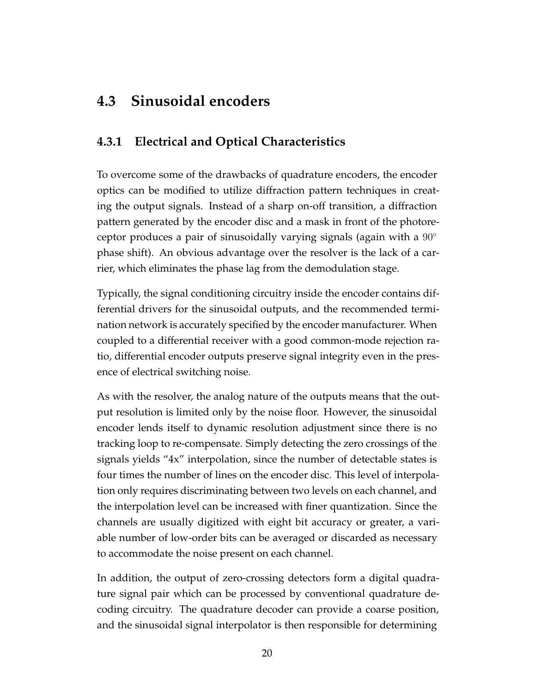## <span id="page-26-0"></span>**4.3 Sinusoidal encoders**

### <span id="page-26-1"></span>**4.3.1 Electrical and Optical Characteristics**

To overcome some of the drawbacks of quadrature encoders, the encoder optics can be modified to utilize diffraction pattern techniques in creating the output signals. Instead of a sharp on-off transition, a diffraction pattern generated by the encoder disc and a mask in front of the photoreceptor produces a pair of sinusoidally varying signals (again with a  $90^\circ$ ) phase shift). An obvious advantage over the resolver is the lack of a carrier, which eliminates the phase lag from the demodulation stage.

Typically, the signal conditioning circuitry inside the encoder contains differential drivers for the sinusoidal outputs, and the recommended termination network is accurately specified by the encoder manufacturer. When coupled to a differential receiver with a good common-mode rejection ratio, differential encoder outputs preserve signal integrity even in the presence of electrical switching noise.

As with the resolver, the analog nature of the outputs means that the output resolution is limited only by the noise floor. However, the sinusoidal encoder lends itself to dynamic resolution adjustment since there is no tracking loop to re-compensate. Simply detecting the zero crossings of the signals yields "4x" interpolation, since the number of detectable states is four times the number of lines on the encoder disc. This level of interpolation only requires discriminating between two levels on each channel, and the interpolation level can be increased with finer quantization. Since the channels are usually digitized with eight bit accuracy or greater, a variable number of low-order bits can be averaged or discarded as necessary to accommodate the noise present on each channel.

In addition, the output of zero-crossing detectors form a digital quadrature signal pair which can be processed by conventional quadrature decoding circuitry. The quadrature decoder can provide a coarse position, and the sinusoidal signal interpolator is then responsible for determining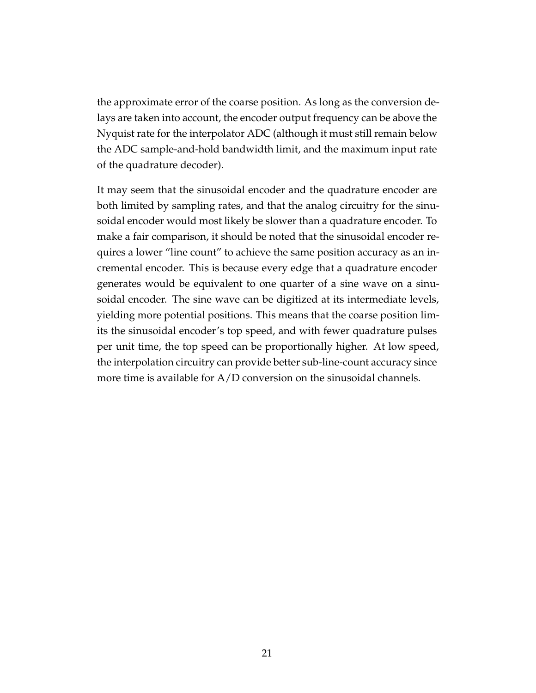the approximate error of the coarse position. As long as the conversion delays are taken into account, the encoder output frequency can be above the Nyquist rate for the interpolator ADC (although it must still remain below the ADC sample-and-hold bandwidth limit, and the maximum input rate of the quadrature decoder).

It may seem that the sinusoidal encoder and the quadrature encoder are both limited by sampling rates, and that the analog circuitry for the sinusoidal encoder would most likely be slower than a quadrature encoder. To make a fair comparison, it should be noted that the sinusoidal encoder requires a lower "line count" to achieve the same position accuracy as an incremental encoder. This is because every edge that a quadrature encoder generates would be equivalent to one quarter of a sine wave on a sinusoidal encoder. The sine wave can be digitized at its intermediate levels, yielding more potential positions. This means that the coarse position limits the sinusoidal encoder's top speed, and with fewer quadrature pulses per unit time, the top speed can be proportionally higher. At low speed, the interpolation circuitry can provide better sub-line-count accuracy since more time is available for A/D conversion on the sinusoidal channels.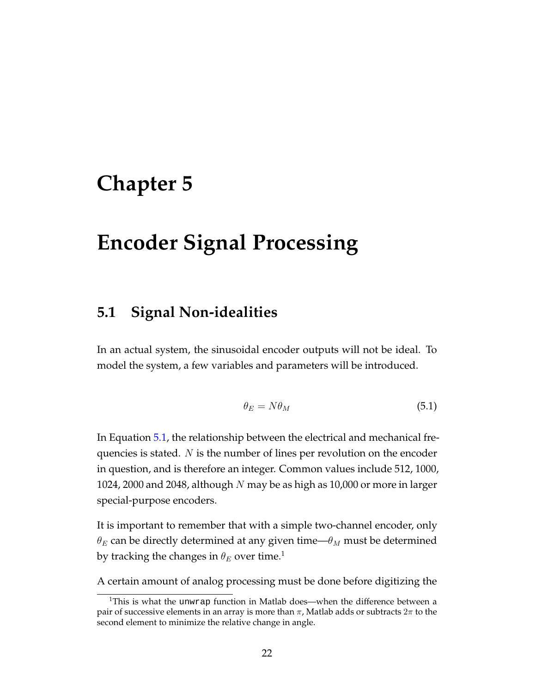## <span id="page-28-0"></span>**Chapter 5**

## **Encoder Signal Processing**

### <span id="page-28-1"></span>**5.1 Signal Non-idealities**

In an actual system, the sinusoidal encoder outputs will not be ideal. To model the system, a few variables and parameters will be introduced.

<span id="page-28-2"></span>
$$
\theta_E = N\theta_M \tag{5.1}
$$

In Equation [5.1,](#page-28-2) the relationship between the electrical and mechanical frequencies is stated.  $N$  is the number of lines per revolution on the encoder in question, and is therefore an integer. Common values include 512, 1000, 1024, 2000 and 2048, although  $N$  may be as high as 10,000 or more in larger special-purpose encoders.

It is important to remember that with a simple two-channel encoder, only  $\theta_E$  can be directly determined at any given time— $\theta_M$  must be determined by tracking the changes in  $\theta_E$  over time.<sup>1</sup>

A certain amount of analog processing must be done before digitizing the

<sup>&</sup>lt;sup>1</sup>This is what the unwrap function in Matlab does—when the difference between a pair of successive elements in an array is more than  $\pi$ , Matlab adds or subtracts  $2\pi$  to the second element to minimize the relative change in angle.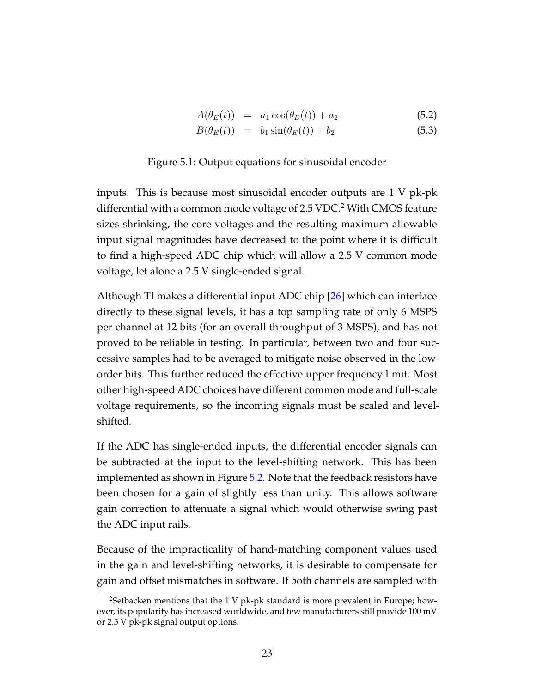$$
A(\theta_E(t)) = a_1 \cos(\theta_E(t)) + a_2 \tag{5.2}
$$

<span id="page-29-0"></span>
$$
B(\theta_E(t)) = b_1 \sin(\theta_E(t)) + b_2 \tag{5.3}
$$

#### Figure 5.1: Output equations for sinusoidal encoder

inputs. This is because most sinusoidal encoder outputs are 1 V pk-pk differential with a common mode voltage of  $2.5$  VDC.<sup>2</sup> With CMOS feature sizes shrinking, the core voltages and the resulting maximum allowable input signal magnitudes have decreased to the point where it is difficult to find a high-speed ADC chip which will allow a 2.5 V common mode voltage, let alone a 2.5 V single-ended signal.

Although TI makes a differential input ADC chip [\[26\]](#page-66-7) which can interface directly to these signal levels, it has a top sampling rate of only 6 MSPS per channel at 12 bits (for an overall throughput of 3 MSPS), and has not proved to be reliable in testing. In particular, between two and four successive samples had to be averaged to mitigate noise observed in the loworder bits. This further reduced the effective upper frequency limit. Most other high-speed ADC choices have different common mode and full-scale voltage requirements, so the incoming signals must be scaled and levelshifted.

If the ADC has single-ended inputs, the differential encoder signals can be subtracted at the input to the level-shifting network. This has been implemented as shown in Figure [5.2.](#page-30-0) Note that the feedback resistors have been chosen for a gain of slightly less than unity. This allows software gain correction to attenuate a signal which would otherwise swing past the ADC input rails.

Because of the impracticality of hand-matching component values used in the gain and level-shifting networks, it is desirable to compensate for gain and offset mismatches in software. If both channels are sampled with

 $2$ Setbacken mentions that the 1 V pk-pk standard is more prevalent in Europe; however, its popularity has increased worldwide, and few manufacturers still provide 100 mV or 2.5 V pk-pk signal output options.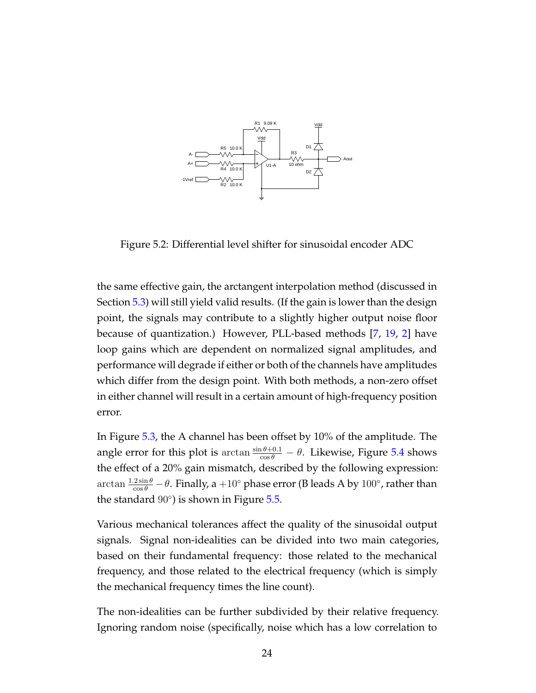

<span id="page-30-0"></span>Figure 5.2: Differential level shifter for sinusoidal encoder ADC

the same effective gain, the arctangent interpolation method (discussed in Section [5.3\)](#page-38-0) will still yield valid results. (If the gain is lower than the design point, the signals may contribute to a slightly higher output noise floor because of quantization.) However, PLL-based methods [\[7,](#page-64-4) [19,](#page-65-1) [2\]](#page-64-3) have loop gains which are dependent on normalized signal amplitudes, and performance will degrade if either or both of the channels have amplitudes which differ from the design point. With both methods, a non-zero offset in either channel will result in a certain amount of high-frequency position error.

In Figure [5.3,](#page-31-0) the A channel has been offset by 10% of the amplitude. The angle error for this plot is  $\arctan \frac{\sin \theta + 0.1}{\cos \theta} - \theta$ . Likewise, Figure [5.4](#page-31-1) shows the effect of a 20% gain mismatch, described by the following expression:  $\arctan \frac{1.2 \sin \theta}{\cos \theta} - \theta$ . Finally, a  $+10^{\circ}$  phase error (B leads A by  $100^{\circ}$ , rather than the standard  $90^\circ$ ) is shown in Figure  $5.5$ .

Various mechanical tolerances affect the quality of the sinusoidal output signals. Signal non-idealities can be divided into two main categories, based on their fundamental frequency: those related to the mechanical frequency, and those related to the electrical frequency (which is simply the mechanical frequency times the line count).

The non-idealities can be further subdivided by their relative frequency. Ignoring random noise (specifically, noise which has a low correlation to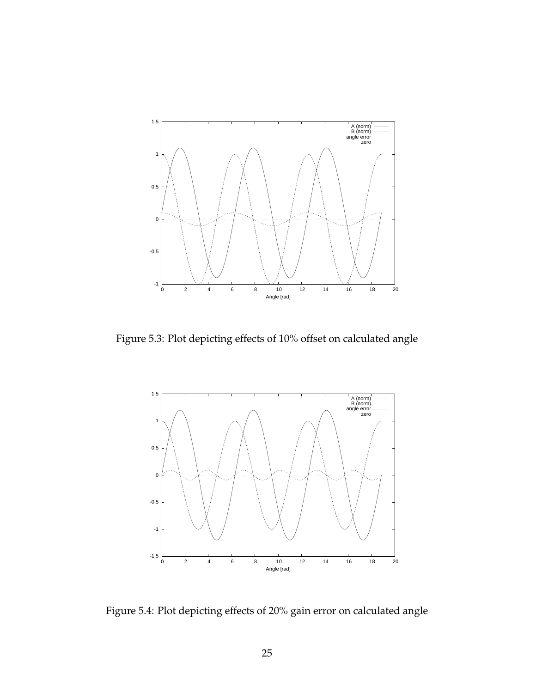

<span id="page-31-0"></span>Figure 5.3: Plot depicting effects of 10% offset on calculated angle



<span id="page-31-1"></span>Figure 5.4: Plot depicting effects of 20% gain error on calculated angle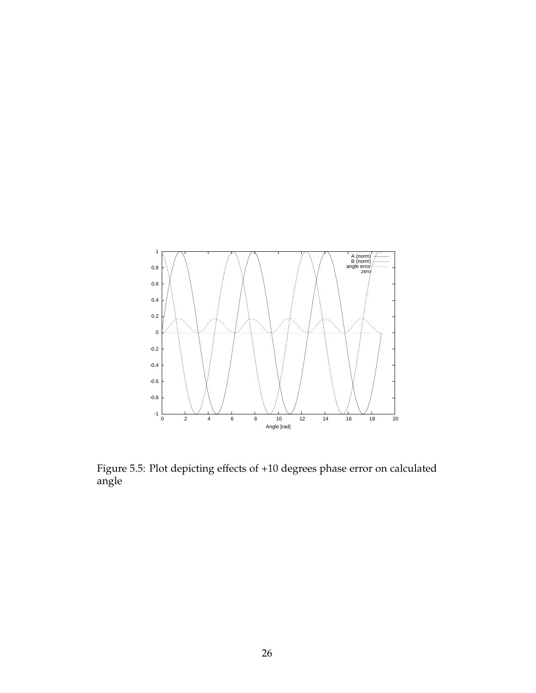

<span id="page-32-0"></span>Figure 5.5: Plot depicting effects of +10 degrees phase error on calculated angle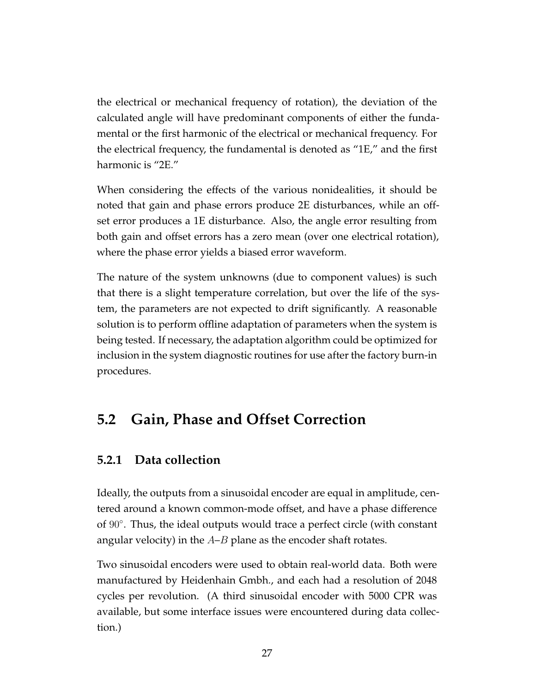the electrical or mechanical frequency of rotation), the deviation of the calculated angle will have predominant components of either the fundamental or the first harmonic of the electrical or mechanical frequency. For the electrical frequency, the fundamental is denoted as "1E," and the first harmonic is "2E."

When considering the effects of the various nonidealities, it should be noted that gain and phase errors produce 2E disturbances, while an offset error produces a 1E disturbance. Also, the angle error resulting from both gain and offset errors has a zero mean (over one electrical rotation), where the phase error yields a biased error waveform.

The nature of the system unknowns (due to component values) is such that there is a slight temperature correlation, but over the life of the system, the parameters are not expected to drift significantly. A reasonable solution is to perform offline adaptation of parameters when the system is being tested. If necessary, the adaptation algorithm could be optimized for inclusion in the system diagnostic routines for use after the factory burn-in procedures.

## <span id="page-33-0"></span>**5.2 Gain, Phase and Offset Correction**

### <span id="page-33-1"></span>**5.2.1 Data collection**

Ideally, the outputs from a sinusoidal encoder are equal in amplitude, centered around a known common-mode offset, and have a phase difference of 90°. Thus, the ideal outputs would trace a perfect circle (with constant angular velocity) in the  $A-B$  plane as the encoder shaft rotates.

Two sinusoidal encoders were used to obtain real-world data. Both were manufactured by Heidenhain Gmbh., and each had a resolution of 2048 cycles per revolution. (A third sinusoidal encoder with 5000 CPR was available, but some interface issues were encountered during data collection.)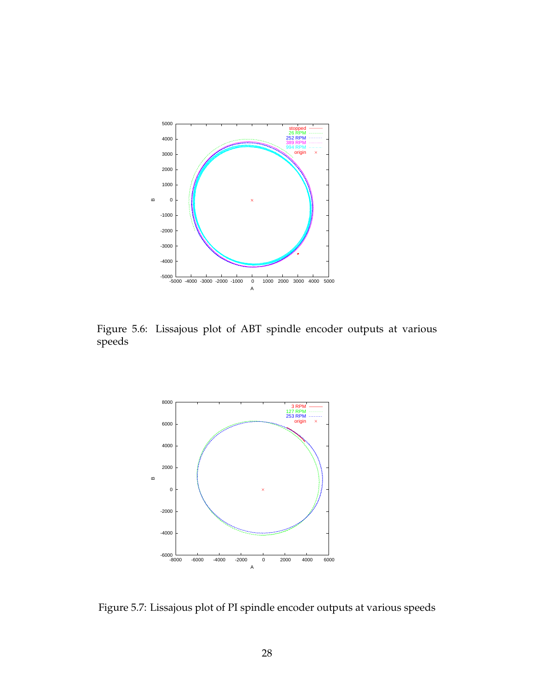

<span id="page-34-0"></span>Figure 5.6: Lissajous plot of ABT spindle encoder outputs at various speeds



<span id="page-34-1"></span>Figure 5.7: Lissajous plot of PI spindle encoder outputs at various speeds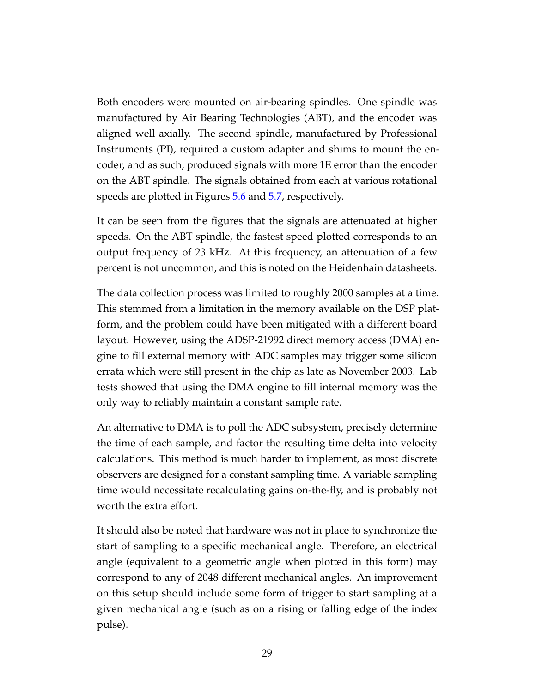Both encoders were mounted on air-bearing spindles. One spindle was manufactured by Air Bearing Technologies (ABT), and the encoder was aligned well axially. The second spindle, manufactured by Professional Instruments (PI), required a custom adapter and shims to mount the encoder, and as such, produced signals with more 1E error than the encoder on the ABT spindle. The signals obtained from each at various rotational speeds are plotted in Figures [5.6](#page-34-0) and [5.7,](#page-34-1) respectively.

It can be seen from the figures that the signals are attenuated at higher speeds. On the ABT spindle, the fastest speed plotted corresponds to an output frequency of 23 kHz. At this frequency, an attenuation of a few percent is not uncommon, and this is noted on the Heidenhain datasheets.

The data collection process was limited to roughly 2000 samples at a time. This stemmed from a limitation in the memory available on the DSP platform, and the problem could have been mitigated with a different board layout. However, using the ADSP-21992 direct memory access (DMA) engine to fill external memory with ADC samples may trigger some silicon errata which were still present in the chip as late as November 2003. Lab tests showed that using the DMA engine to fill internal memory was the only way to reliably maintain a constant sample rate.

An alternative to DMA is to poll the ADC subsystem, precisely determine the time of each sample, and factor the resulting time delta into velocity calculations. This method is much harder to implement, as most discrete observers are designed for a constant sampling time. A variable sampling time would necessitate recalculating gains on-the-fly, and is probably not worth the extra effort.

It should also be noted that hardware was not in place to synchronize the start of sampling to a specific mechanical angle. Therefore, an electrical angle (equivalent to a geometric angle when plotted in this form) may correspond to any of 2048 different mechanical angles. An improvement on this setup should include some form of trigger to start sampling at a given mechanical angle (such as on a rising or falling edge of the index pulse).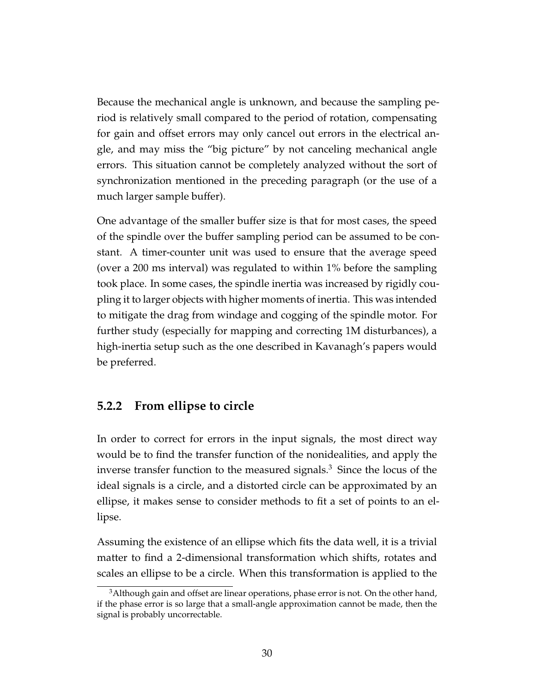Because the mechanical angle is unknown, and because the sampling period is relatively small compared to the period of rotation, compensating for gain and offset errors may only cancel out errors in the electrical angle, and may miss the "big picture" by not canceling mechanical angle errors. This situation cannot be completely analyzed without the sort of synchronization mentioned in the preceding paragraph (or the use of a much larger sample buffer).

One advantage of the smaller buffer size is that for most cases, the speed of the spindle over the buffer sampling period can be assumed to be constant. A timer-counter unit was used to ensure that the average speed (over a 200 ms interval) was regulated to within 1% before the sampling took place. In some cases, the spindle inertia was increased by rigidly coupling it to larger objects with higher moments of inertia. This was intended to mitigate the drag from windage and cogging of the spindle motor. For further study (especially for mapping and correcting 1M disturbances), a high-inertia setup such as the one described in Kavanagh's papers would be preferred.

#### <span id="page-36-0"></span>**5.2.2 From ellipse to circle**

In order to correct for errors in the input signals, the most direct way would be to find the transfer function of the nonidealities, and apply the inverse transfer function to the measured signals.<sup>3</sup> Since the locus of the ideal signals is a circle, and a distorted circle can be approximated by an ellipse, it makes sense to consider methods to fit a set of points to an ellipse.

Assuming the existence of an ellipse which fits the data well, it is a trivial matter to find a 2-dimensional transformation which shifts, rotates and scales an ellipse to be a circle. When this transformation is applied to the

 $3$ Although gain and offset are linear operations, phase error is not. On the other hand, if the phase error is so large that a small-angle approximation cannot be made, then the signal is probably uncorrectable.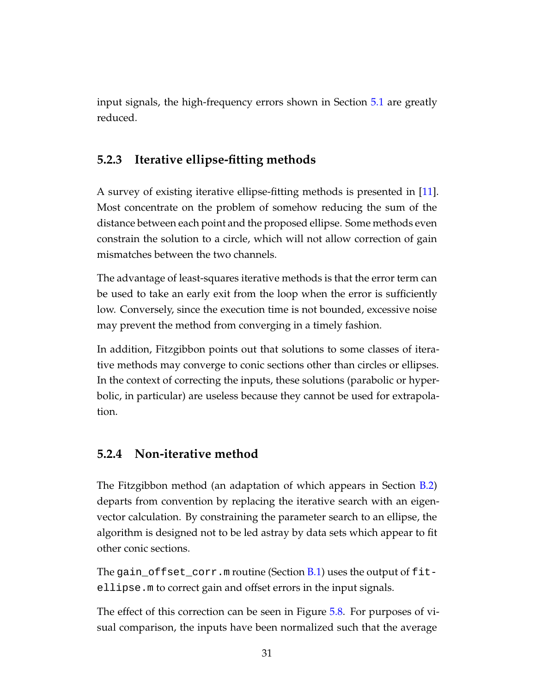input signals, the high-frequency errors shown in Section [5.1](#page-28-1) are greatly reduced.

### <span id="page-37-0"></span>**5.2.3 Iterative ellipse-fitting methods**

A survey of existing iterative ellipse-fitting methods is presented in [\[11\]](#page-65-4). Most concentrate on the problem of somehow reducing the sum of the distance between each point and the proposed ellipse. Some methods even constrain the solution to a circle, which will not allow correction of gain mismatches between the two channels.

The advantage of least-squares iterative methods is that the error term can be used to take an early exit from the loop when the error is sufficiently low. Conversely, since the execution time is not bounded, excessive noise may prevent the method from converging in a timely fashion.

In addition, Fitzgibbon points out that solutions to some classes of iterative methods may converge to conic sections other than circles or ellipses. In the context of correcting the inputs, these solutions (parabolic or hyperbolic, in particular) are useless because they cannot be used for extrapolation.

#### <span id="page-37-1"></span>**5.2.4 Non-iterative method**

The Fitzgibbon method (an adaptation of which appears in Section [B.2\)](#page-57-0) departs from convention by replacing the iterative search with an eigenvector calculation. By constraining the parameter search to an ellipse, the algorithm is designed not to be led astray by data sets which appear to fit other conic sections.

The gain\_offset\_corr.m routine (Section  $B.1$ ) uses the output of fitellipse.m to correct gain and offset errors in the input signals.

The effect of this correction can be seen in Figure [5.8.](#page-38-1) For purposes of visual comparison, the inputs have been normalized such that the average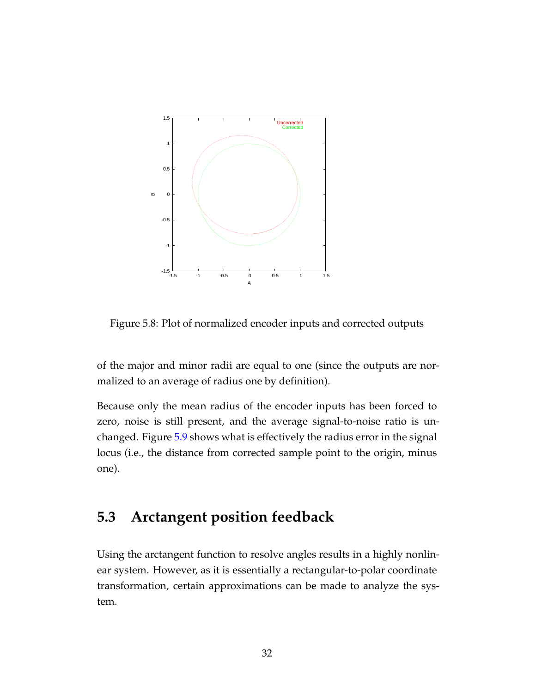

<span id="page-38-1"></span>Figure 5.8: Plot of normalized encoder inputs and corrected outputs

of the major and minor radii are equal to one (since the outputs are normalized to an average of radius one by definition).

Because only the mean radius of the encoder inputs has been forced to zero, noise is still present, and the average signal-to-noise ratio is unchanged. Figure [5.9](#page-39-0) shows what is effectively the radius error in the signal locus (i.e., the distance from corrected sample point to the origin, minus one).

### <span id="page-38-0"></span>**5.3 Arctangent position feedback**

Using the arctangent function to resolve angles results in a highly nonlinear system. However, as it is essentially a rectangular-to-polar coordinate transformation, certain approximations can be made to analyze the system.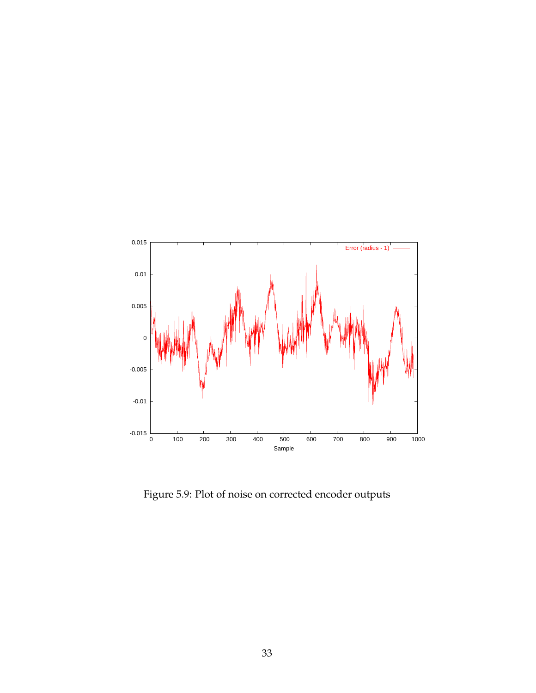

<span id="page-39-0"></span>Figure 5.9: Plot of noise on corrected encoder outputs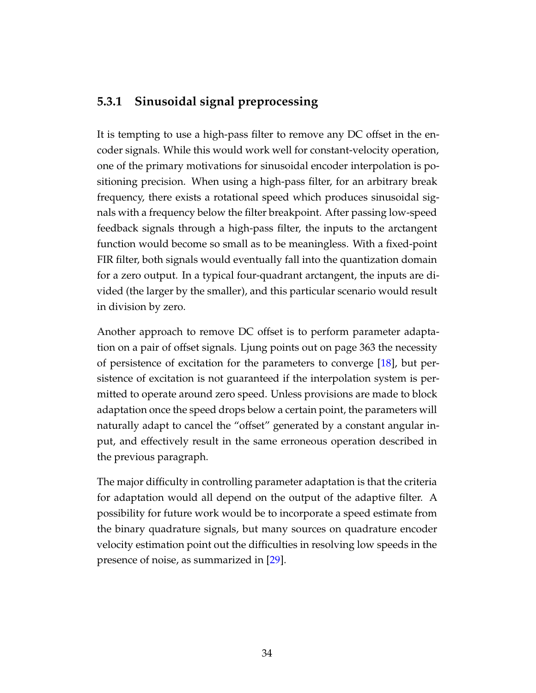### <span id="page-40-0"></span>**5.3.1 Sinusoidal signal preprocessing**

It is tempting to use a high-pass filter to remove any DC offset in the encoder signals. While this would work well for constant-velocity operation, one of the primary motivations for sinusoidal encoder interpolation is positioning precision. When using a high-pass filter, for an arbitrary break frequency, there exists a rotational speed which produces sinusoidal signals with a frequency below the filter breakpoint. After passing low-speed feedback signals through a high-pass filter, the inputs to the arctangent function would become so small as to be meaningless. With a fixed-point FIR filter, both signals would eventually fall into the quantization domain for a zero output. In a typical four-quadrant arctangent, the inputs are divided (the larger by the smaller), and this particular scenario would result in division by zero.

Another approach to remove DC offset is to perform parameter adaptation on a pair of offset signals. Ljung points out on page 363 the necessity of persistence of excitation for the parameters to converge [\[18\]](#page-65-5), but persistence of excitation is not guaranteed if the interpolation system is permitted to operate around zero speed. Unless provisions are made to block adaptation once the speed drops below a certain point, the parameters will naturally adapt to cancel the "offset" generated by a constant angular input, and effectively result in the same erroneous operation described in the previous paragraph.

The major difficulty in controlling parameter adaptation is that the criteria for adaptation would all depend on the output of the adaptive filter. A possibility for future work would be to incorporate a speed estimate from the binary quadrature signals, but many sources on quadrature encoder velocity estimation point out the difficulties in resolving low speeds in the presence of noise, as summarized in [\[29\]](#page-66-8).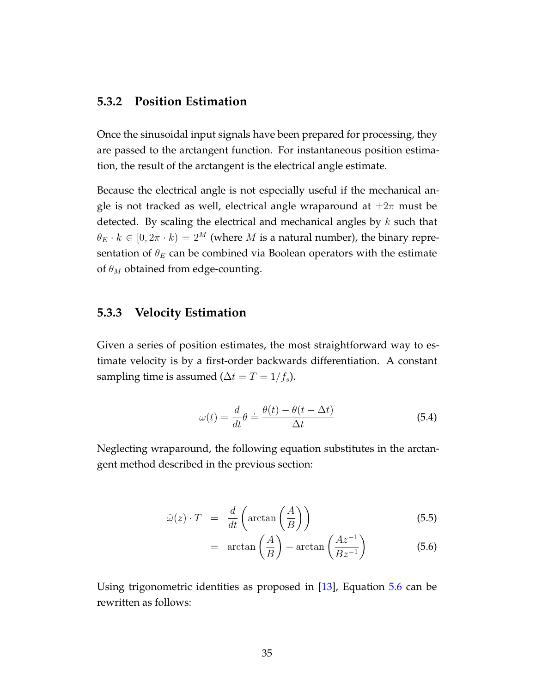#### <span id="page-41-0"></span>**5.3.2 Position Estimation**

Once the sinusoidal input signals have been prepared for processing, they are passed to the arctangent function. For instantaneous position estimation, the result of the arctangent is the electrical angle estimate.

Because the electrical angle is not especially useful if the mechanical angle is not tracked as well, electrical angle wraparound at  $\pm 2\pi$  must be detected. By scaling the electrical and mechanical angles by  $k$  such that  $\theta_E \cdot k \in [0, 2\pi \cdot k] = 2^M$  (where M is a natural number), the binary representation of  $\theta_E$  can be combined via Boolean operators with the estimate of  $\theta_M$  obtained from edge-counting.

#### <span id="page-41-1"></span>**5.3.3 Velocity Estimation**

Given a series of position estimates, the most straightforward way to estimate velocity is by a first-order backwards differentiation. A constant sampling time is assumed ( $\Delta t = T = 1/f_s$ ).

$$
\omega(t) = \frac{d}{dt}\theta \doteq \frac{\theta(t) - \theta(t - \Delta t)}{\Delta t}
$$
\n(5.4)

Neglecting wraparound, the following equation substitutes in the arctangent method described in the previous section:

<span id="page-41-2"></span>
$$
\hat{\omega}(z) \cdot T = \frac{d}{dt} \left( \arctan\left(\frac{A}{B}\right) \right) \tag{5.5}
$$

$$
= \arctan\left(\frac{A}{B}\right) - \arctan\left(\frac{Az^{-1}}{Bz^{-1}}\right) \tag{5.6}
$$

Using trigonometric identities as proposed in [\[13\]](#page-65-6), Equation [5.6](#page-41-2) can be rewritten as follows: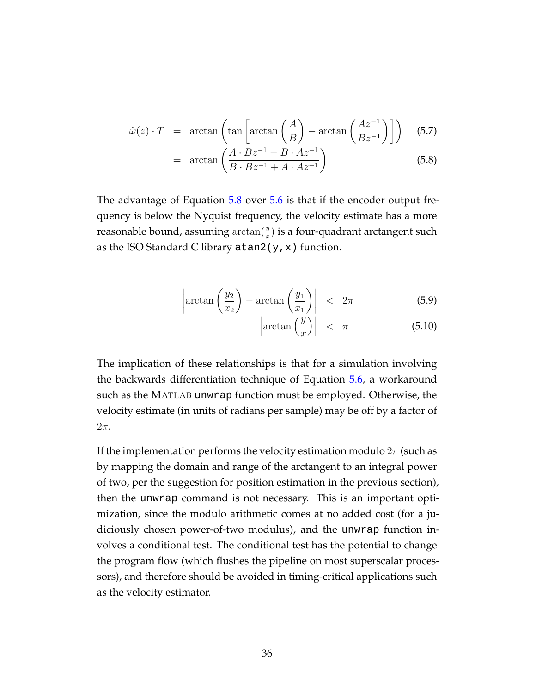<span id="page-42-0"></span>
$$
\hat{\omega}(z) \cdot T = \arctan\left(\tan\left[\arctan\left(\frac{A}{B}\right) - \arctan\left(\frac{Az^{-1}}{Bz^{-1}}\right)\right]\right) \tag{5.7}
$$

$$
= \arctan\left(\frac{A \cdot Bz^{-1} - B \cdot Az^{-1}}{B \cdot Bz^{-1} + A \cdot Az^{-1}}\right) \tag{5.8}
$$

The advantage of Equation [5.8](#page-42-0) over [5.6](#page-41-2) is that if the encoder output frequency is below the Nyquist frequency, the velocity estimate has a more reasonable bound, assuming  $\arctan(\frac{y}{x})$  is a four-quadrant arctangent such as the ISO Standard C library  $\alpha$  tan2(y, x) function.

<span id="page-42-1"></span>
$$
\left|\arctan\left(\frac{y_2}{x_2}\right) - \arctan\left(\frac{y_1}{x_1}\right)\right| < 2\pi \tag{5.9}
$$

$$
\left|\arctan\left(\frac{y}{x}\right)\right| < \pi \tag{5.10}
$$

The implication of these relationships is that for a simulation involving the backwards differentiation technique of Equation [5.6,](#page-41-2) a workaround such as the MATLAB unwrap function must be employed. Otherwise, the velocity estimate (in units of radians per sample) may be off by a factor of  $2\pi$ .

If the implementation performs the velocity estimation modulo  $2\pi$  (such as by mapping the domain and range of the arctangent to an integral power of two, per the suggestion for position estimation in the previous section), then the unwrap command is not necessary. This is an important optimization, since the modulo arithmetic comes at no added cost (for a judiciously chosen power-of-two modulus), and the unwrap function involves a conditional test. The conditional test has the potential to change the program flow (which flushes the pipeline on most superscalar processors), and therefore should be avoided in timing-critical applications such as the velocity estimator.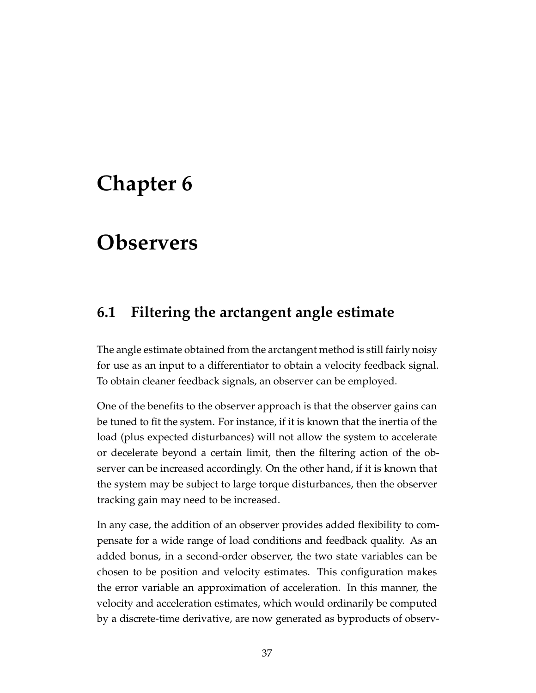## <span id="page-43-0"></span>**Chapter 6**

## **Observers**

## <span id="page-43-1"></span>**6.1 Filtering the arctangent angle estimate**

The angle estimate obtained from the arctangent method is still fairly noisy for use as an input to a differentiator to obtain a velocity feedback signal. To obtain cleaner feedback signals, an observer can be employed.

One of the benefits to the observer approach is that the observer gains can be tuned to fit the system. For instance, if it is known that the inertia of the load (plus expected disturbances) will not allow the system to accelerate or decelerate beyond a certain limit, then the filtering action of the observer can be increased accordingly. On the other hand, if it is known that the system may be subject to large torque disturbances, then the observer tracking gain may need to be increased.

In any case, the addition of an observer provides added flexibility to compensate for a wide range of load conditions and feedback quality. As an added bonus, in a second-order observer, the two state variables can be chosen to be position and velocity estimates. This configuration makes the error variable an approximation of acceleration. In this manner, the velocity and acceleration estimates, which would ordinarily be computed by a discrete-time derivative, are now generated as byproducts of observ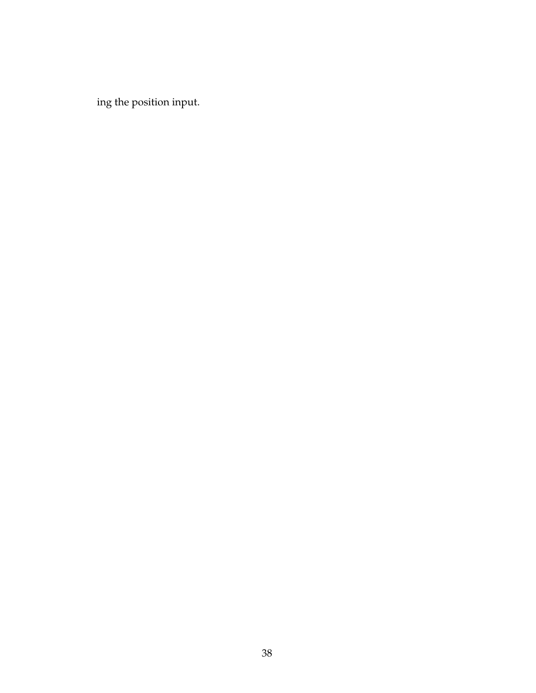ing the position input.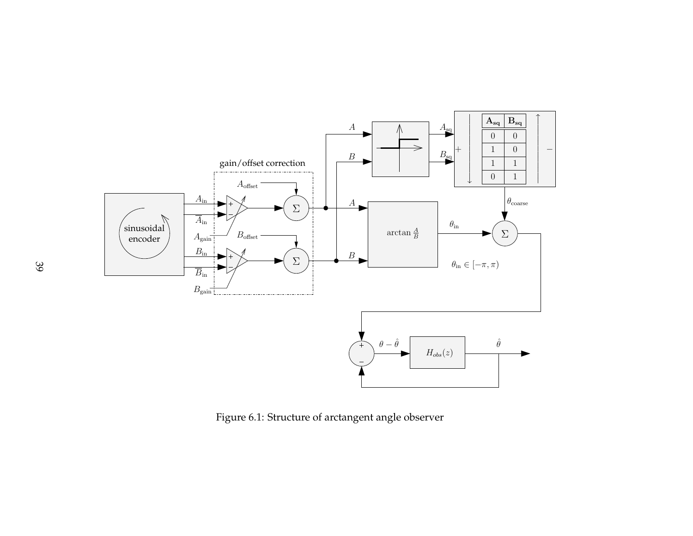

<span id="page-45-0"></span>Figure 6.1: Structure of arctangent angle observer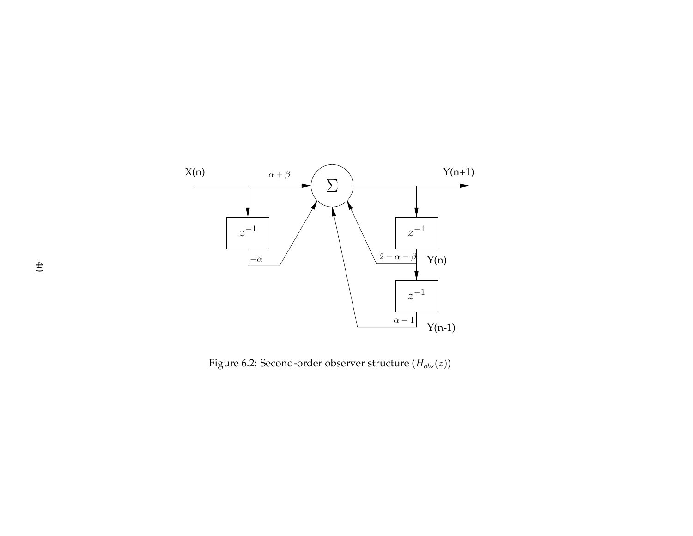

<span id="page-46-0"></span>Figure 6.2: Second-order observer structure  $\left(H_{obs}(z)\right)$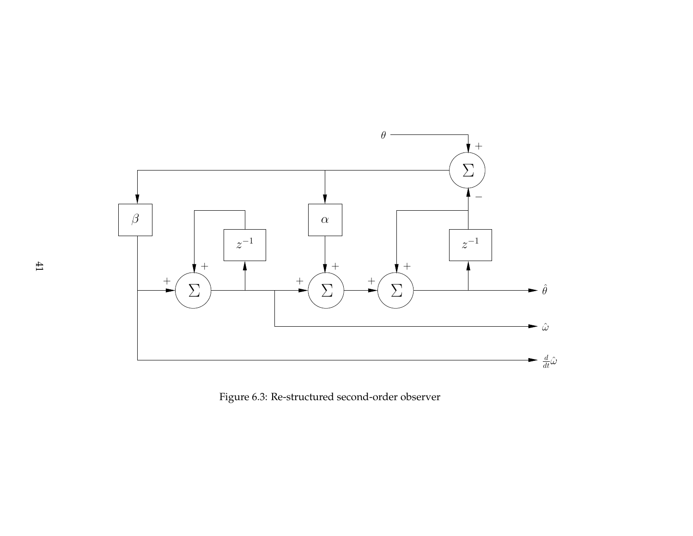<span id="page-47-0"></span>

Figure 6.3: Re-structured second-order observer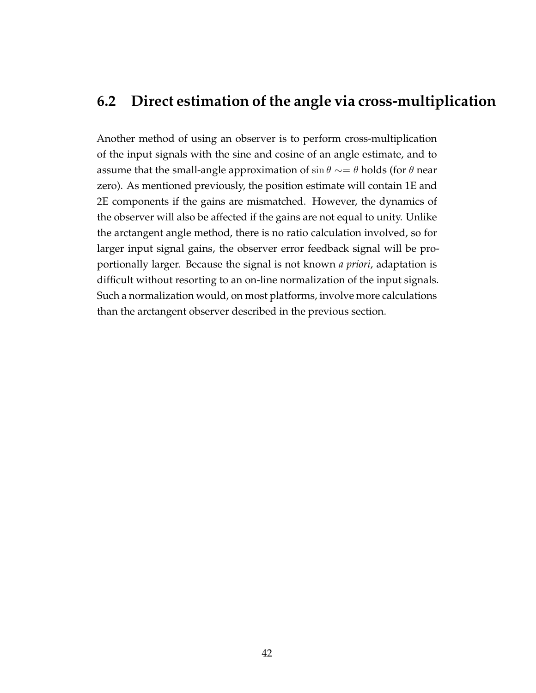### <span id="page-48-0"></span>**6.2 Direct estimation of the angle via cross-multiplication**

Another method of using an observer is to perform cross-multiplication of the input signals with the sine and cosine of an angle estimate, and to assume that the small-angle approximation of sin  $\theta \sim = \theta$  holds (for  $\theta$  near zero). As mentioned previously, the position estimate will contain 1E and 2E components if the gains are mismatched. However, the dynamics of the observer will also be affected if the gains are not equal to unity. Unlike the arctangent angle method, there is no ratio calculation involved, so for larger input signal gains, the observer error feedback signal will be proportionally larger. Because the signal is not known *a priori*, adaptation is difficult without resorting to an on-line normalization of the input signals. Such a normalization would, on most platforms, involve more calculations than the arctangent observer described in the previous section.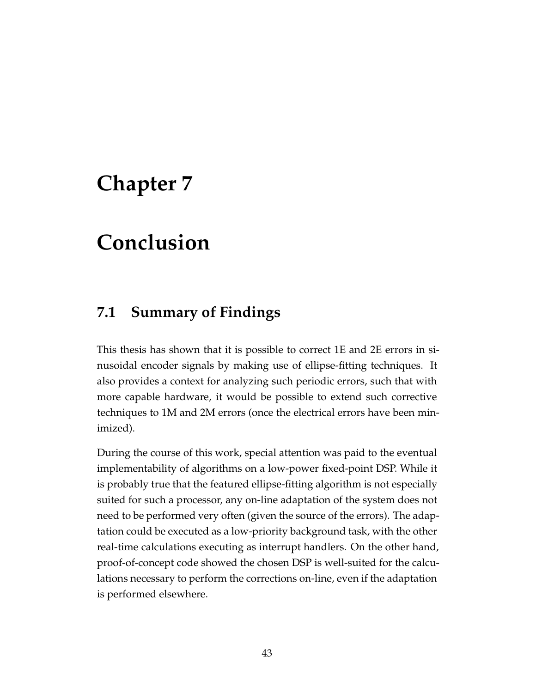## <span id="page-49-0"></span>**Chapter 7**

## **Conclusion**

### <span id="page-49-1"></span>**7.1 Summary of Findings**

This thesis has shown that it is possible to correct 1E and 2E errors in sinusoidal encoder signals by making use of ellipse-fitting techniques. It also provides a context for analyzing such periodic errors, such that with more capable hardware, it would be possible to extend such corrective techniques to 1M and 2M errors (once the electrical errors have been minimized).

During the course of this work, special attention was paid to the eventual implementability of algorithms on a low-power fixed-point DSP. While it is probably true that the featured ellipse-fitting algorithm is not especially suited for such a processor, any on-line adaptation of the system does not need to be performed very often (given the source of the errors). The adaptation could be executed as a low-priority background task, with the other real-time calculations executing as interrupt handlers. On the other hand, proof-of-concept code showed the chosen DSP is well-suited for the calculations necessary to perform the corrections on-line, even if the adaptation is performed elsewhere.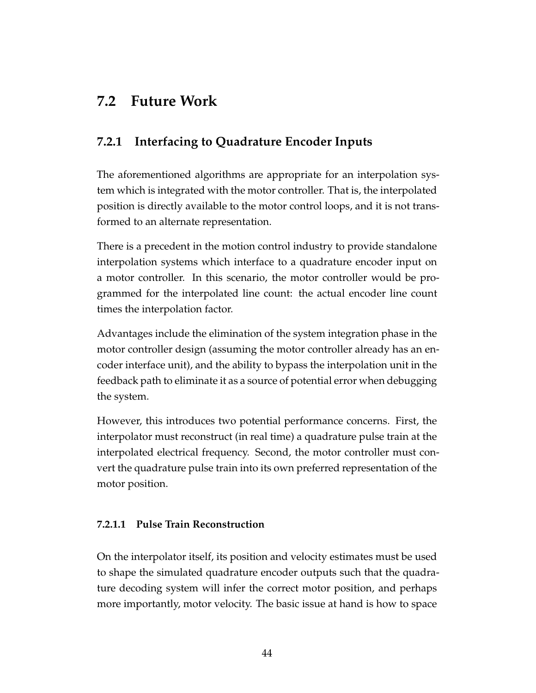## <span id="page-50-0"></span>**7.2 Future Work**

### <span id="page-50-1"></span>**7.2.1 Interfacing to Quadrature Encoder Inputs**

The aforementioned algorithms are appropriate for an interpolation system which is integrated with the motor controller. That is, the interpolated position is directly available to the motor control loops, and it is not transformed to an alternate representation.

There is a precedent in the motion control industry to provide standalone interpolation systems which interface to a quadrature encoder input on a motor controller. In this scenario, the motor controller would be programmed for the interpolated line count: the actual encoder line count times the interpolation factor.

Advantages include the elimination of the system integration phase in the motor controller design (assuming the motor controller already has an encoder interface unit), and the ability to bypass the interpolation unit in the feedback path to eliminate it as a source of potential error when debugging the system.

However, this introduces two potential performance concerns. First, the interpolator must reconstruct (in real time) a quadrature pulse train at the interpolated electrical frequency. Second, the motor controller must convert the quadrature pulse train into its own preferred representation of the motor position.

#### <span id="page-50-2"></span>**7.2.1.1 Pulse Train Reconstruction**

On the interpolator itself, its position and velocity estimates must be used to shape the simulated quadrature encoder outputs such that the quadrature decoding system will infer the correct motor position, and perhaps more importantly, motor velocity. The basic issue at hand is how to space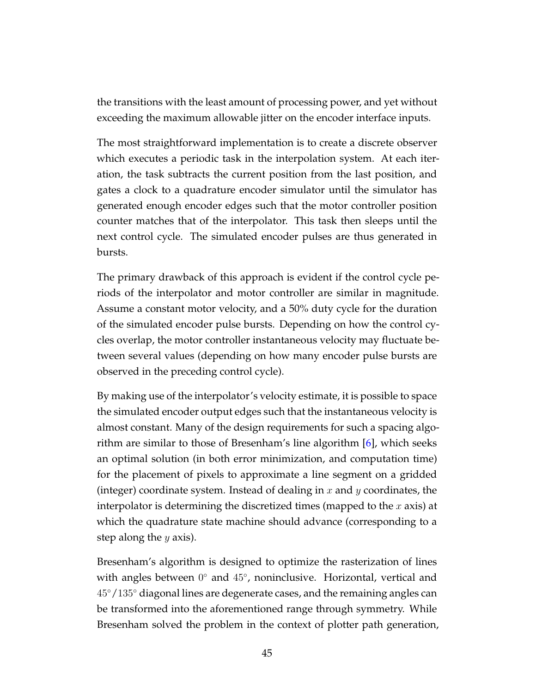the transitions with the least amount of processing power, and yet without exceeding the maximum allowable jitter on the encoder interface inputs.

The most straightforward implementation is to create a discrete observer which executes a periodic task in the interpolation system. At each iteration, the task subtracts the current position from the last position, and gates a clock to a quadrature encoder simulator until the simulator has generated enough encoder edges such that the motor controller position counter matches that of the interpolator. This task then sleeps until the next control cycle. The simulated encoder pulses are thus generated in bursts.

The primary drawback of this approach is evident if the control cycle periods of the interpolator and motor controller are similar in magnitude. Assume a constant motor velocity, and a 50% duty cycle for the duration of the simulated encoder pulse bursts. Depending on how the control cycles overlap, the motor controller instantaneous velocity may fluctuate between several values (depending on how many encoder pulse bursts are observed in the preceding control cycle).

By making use of the interpolator's velocity estimate, it is possible to space the simulated encoder output edges such that the instantaneous velocity is almost constant. Many of the design requirements for such a spacing algorithm are similar to those of Bresenham's line algorithm [\[6\]](#page-64-5), which seeks an optimal solution (in both error minimization, and computation time) for the placement of pixels to approximate a line segment on a gridded (integer) coordinate system. Instead of dealing in  $x$  and  $y$  coordinates, the interpolator is determining the discretized times (mapped to the  $x$  axis) at which the quadrature state machine should advance (corresponding to a step along the  $y$  axis).

Bresenham's algorithm is designed to optimize the rasterization of lines with angles between 0° and 45°, noninclusive. Horizontal, vertical and 45◦/135◦ diagonal lines are degenerate cases, and the remaining angles can be transformed into the aforementioned range through symmetry. While Bresenham solved the problem in the context of plotter path generation,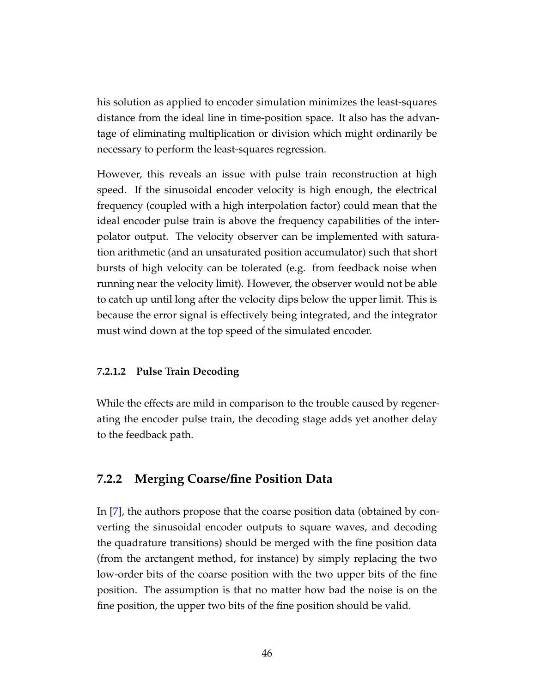his solution as applied to encoder simulation minimizes the least-squares distance from the ideal line in time-position space. It also has the advantage of eliminating multiplication or division which might ordinarily be necessary to perform the least-squares regression.

However, this reveals an issue with pulse train reconstruction at high speed. If the sinusoidal encoder velocity is high enough, the electrical frequency (coupled with a high interpolation factor) could mean that the ideal encoder pulse train is above the frequency capabilities of the interpolator output. The velocity observer can be implemented with saturation arithmetic (and an unsaturated position accumulator) such that short bursts of high velocity can be tolerated (e.g. from feedback noise when running near the velocity limit). However, the observer would not be able to catch up until long after the velocity dips below the upper limit. This is because the error signal is effectively being integrated, and the integrator must wind down at the top speed of the simulated encoder.

#### <span id="page-52-0"></span>**7.2.1.2 Pulse Train Decoding**

While the effects are mild in comparison to the trouble caused by regenerating the encoder pulse train, the decoding stage adds yet another delay to the feedback path.

#### <span id="page-52-1"></span>**7.2.2 Merging Coarse/fine Position Data**

In [\[7\]](#page-64-4), the authors propose that the coarse position data (obtained by converting the sinusoidal encoder outputs to square waves, and decoding the quadrature transitions) should be merged with the fine position data (from the arctangent method, for instance) by simply replacing the two low-order bits of the coarse position with the two upper bits of the fine position. The assumption is that no matter how bad the noise is on the fine position, the upper two bits of the fine position should be valid.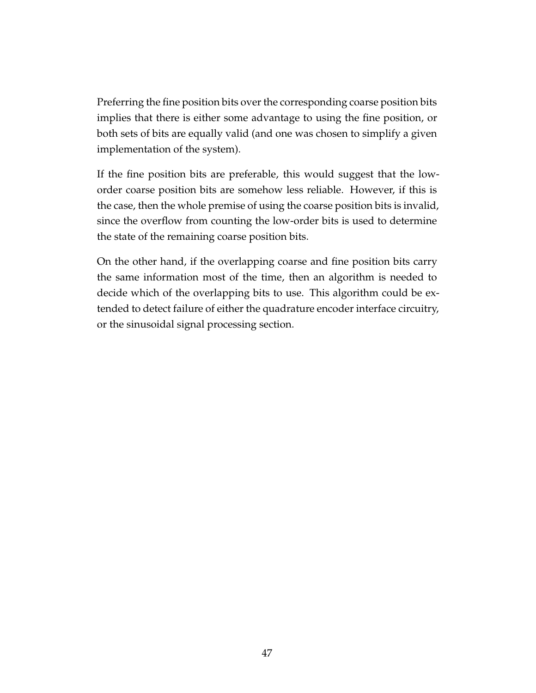Preferring the fine position bits over the corresponding coarse position bits implies that there is either some advantage to using the fine position, or both sets of bits are equally valid (and one was chosen to simplify a given implementation of the system).

If the fine position bits are preferable, this would suggest that the loworder coarse position bits are somehow less reliable. However, if this is the case, then the whole premise of using the coarse position bits is invalid, since the overflow from counting the low-order bits is used to determine the state of the remaining coarse position bits.

On the other hand, if the overlapping coarse and fine position bits carry the same information most of the time, then an algorithm is needed to decide which of the overlapping bits to use. This algorithm could be extended to detect failure of either the quadrature encoder interface circuitry, or the sinusoidal signal processing section.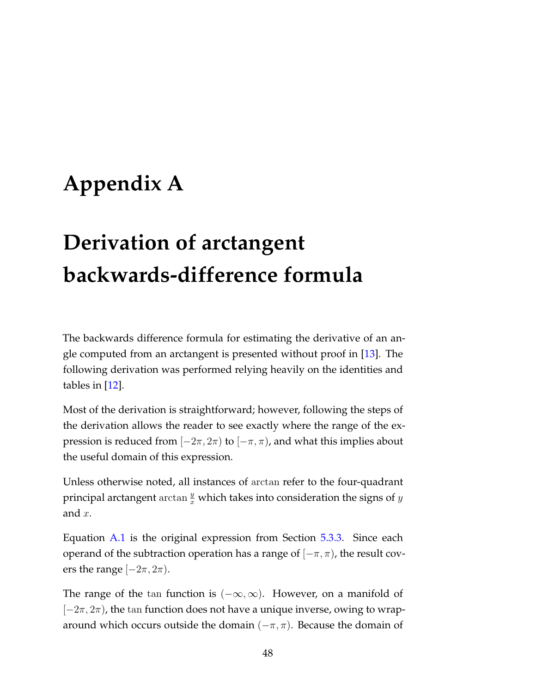# <span id="page-54-0"></span>**Appendix A**

# **Derivation of arctangent backwards-difference formula**

The backwards difference formula for estimating the derivative of an angle computed from an arctangent is presented without proof in [\[13\]](#page-65-6). The following derivation was performed relying heavily on the identities and tables in [\[12\]](#page-65-7).

Most of the derivation is straightforward; however, following the steps of the derivation allows the reader to see exactly where the range of the expression is reduced from  $[-2\pi, 2\pi)$  to  $[-\pi, \pi)$ , and what this implies about the useful domain of this expression.

Unless otherwise noted, all instances of arctan refer to the four-quadrant principal arctangent  $\arctan \frac{y}{x}$  which takes into consideration the signs of  $y$ and  $x$ .

Equation [A.1](#page-55-0) is the original expression from Section [5.3.3.](#page-41-2) Since each operand of the subtraction operation has a range of  $[-\pi, \pi)$ , the result covers the range  $[-2\pi, 2\pi)$ .

The range of the tan function is  $(-\infty, \infty)$ . However, on a manifold of  $[-2\pi, 2\pi)$ , the tan function does not have a unique inverse, owing to wraparound which occurs outside the domain  $(-\pi, \pi)$ . Because the domain of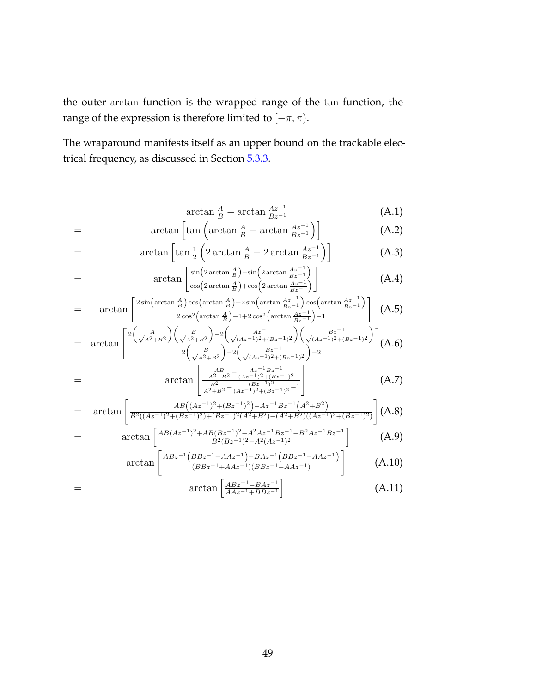the outer arctan function is the wrapped range of the tan function, the range of the expression is therefore limited to  $[-\pi,\pi).$ 

The wraparound manifests itself as an upper bound on the trackable electrical frequency, as discussed in Section [5.3.3.](#page-42-1)

$$
\arctan\frac{A}{B} - \arctan\frac{Az^{-1}}{Bz^{-1}}\tag{A.1}
$$

<span id="page-55-0"></span>
$$
= \arctan\left[\tan\left(\arctan\frac{A}{B} - \arctan\frac{Az^{-1}}{Bz^{-1}}\right)\right]
$$
(A.2)

$$
= \arctan\left[\tan\frac{1}{2}\left(2\arctan\frac{A}{B} - 2\arctan\frac{Az^{-1}}{Bz^{-1}}\right)\right]
$$
(A.3)

$$
= \arctan\left[\frac{\sin\left(2\arctan\frac{A}{B}\right) - \sin\left(2\arctan\frac{Az^{-1}}{Bz^{-1}}\right)}{\cos\left(2\arctan\frac{A}{B}\right) + \cos\left(2\arctan\frac{Az^{-1}}{Bz^{-1}}\right)}\right] \tag{A.4}
$$

$$
= \arctan\left[\frac{2\sin\left(\arctan\frac{A}{B}\right)\cos\left(\arctan\frac{A}{B}\right)-2\sin\left(\arctan\frac{Az^{-1}}{Bz^{-1}}\right)\cos\left(\arctan\frac{Az^{-1}}{Bz^{-1}}\right)}{2\cos^2\left(\arctan\frac{A}{B}\right)-1+2\cos^2\left(\arctan\frac{Az^{-1}}{Bz^{-1}}\right)-1}\right] (A.5)
$$

$$
= \arctan\left[\frac{2\left(\frac{A}{\sqrt{A^2+B^2}}\right)\left(\frac{B}{\sqrt{A^2+B^2}}\right)-2\left(\frac{Az^{-1}}{\sqrt{(Az^{-1})^2+(Bz^{-1})^2}}\right)\left(\frac{Bz^{-1}}{\sqrt{(Az^{-1})^2+(Bz^{-1})^2}}\right)}{2\left(\frac{B}{\sqrt{A^2+B^2}}\right)-2\left(\frac{Bz^{-1}}{\sqrt{(Az^{-1})^2+(Bz^{-1})^2}}\right)-2}\right](A.6)
$$
\n
$$
= \arctan\left[\frac{\frac{AB}{A^2+B^2} - \frac{Az^{-1}Bz^{-1}}{(Az^{-1})^2+(Bz^{-1})^2}}{(Bz^{-1})^2}\right] \tag{A.7}
$$

$$
\arctan\left[\frac{\frac{A^2+B^2}{B^2} \frac{(Az^{-1})^2 + (Bz^{-1})^2}{(Bz^{-1})^2}}{\frac{B^2}{A^2+B^2} - \frac{(Bz^{-1})^2}{(Az^{-1})^2 + (Bz^{-1})^2} - 1}\right]
$$
(A.7)

$$
= \arctan\left[\frac{AB((Az^{-1})^2 + (Bz^{-1})^2) - Az^{-1}Bz^{-1}(A^2 + B^2)}{B^2((Az^{-1})^2 + (Bz^{-1})^2) + (Bz^{-1})^2(A^2 + B^2) - (A^2 + B^2)((Az^{-1})^2 + (Bz^{-1})^2)}\right](A.8)
$$

$$
= \arctan\left[\frac{AB(Az^{-1})^2 + AB(Bz^{-1})^2 - A^2Az^{-1}Bz^{-1} - B^2Az^{-1}Bz^{-1}}{B^2(Bz^{-1})^2 - A^2(Az^{-1})^2}\right] \tag{A.9}
$$

$$
= \arctan\left[\frac{ABz^{-1}(BBz^{-1}-AAz^{-1})-BAz^{-1}(BBz^{-1}-AAz^{-1})}{(BBz^{-1}+AAz^{-1})(BBz^{-1}-AAz^{-1})}\right] \tag{A.10}
$$

$$
= \arctan\left[\frac{ABz^{-1} - BAz^{-1}}{AAz^{-1} + BBz^{-1}}\right] \tag{A.11}
$$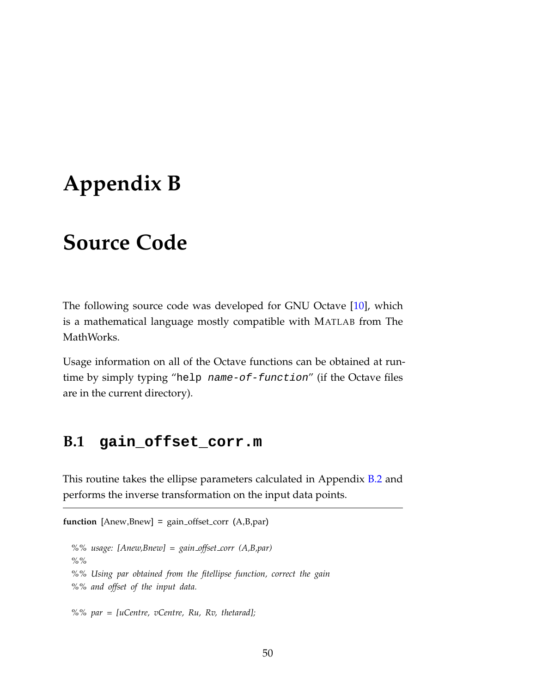## <span id="page-56-0"></span>**Appendix B**

## **Source Code**

The following source code was developed for GNU Octave [\[10\]](#page-65-8), which is a mathematical language mostly compatible with MATLAB from The MathWorks.

Usage information on all of the Octave functions can be obtained at runtime by simply typing "help name-of-function" (if the Octave files are in the current directory).

### <span id="page-56-1"></span>**B.1 gain\_offset\_corr.m**

This routine takes the ellipse parameters calculated in Appendix **[B.2](#page-57-0)** and performs the inverse transformation on the input data points.

```
function [Anew,Bnew] = gain_offset_corr (A, B, par)%% usage: [Anew,Bnew] = gain offset corr (A,B,par)
  %%
  %% Using par obtained from the fitellipse function, correct the gain
  %% and offset of the input data.
```
*%% par = [uCentre, vCentre, Ru, Rv, thetarad];*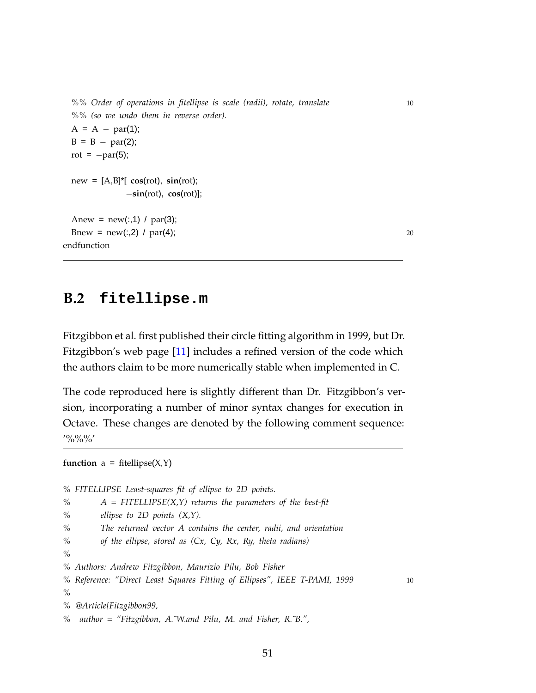```
%% Order of operations in fitellipse is scale (radii), rotate, translate 10
 %% (so we undo them in reverse order).
 A = A - par(1);B = B - par(2);rot = -par(5);
 new = [A, B]^*[ cos(rot), sin(rot);
            −sin(rot), cos(rot)];
 Anew = new(:,1) / par(3);Bnew = new(:,2) / par(4); 20
endfunction
```
### <span id="page-57-0"></span>**B.2 fitellipse.m**

Fitzgibbon et al. first published their circle fitting algorithm in 1999, but Dr. Fitzgibbon's web page [\[11\]](#page-65-4) includes a refined version of the code which the authors claim to be more numerically stable when implemented in C.

The code reproduced here is slightly different than Dr. Fitzgibbon's version, incorporating a number of minor syntax changes for execution in Octave. These changes are denoted by the following comment sequence:  $'$ %%%'

**function**  $a = \text{fitellipse}(X, Y)$ 

*% FITELLIPSE Least-squares fit of ellipse to 2D points. % A = FITELLIPSE(X,Y) returns the parameters of the best-fit % ellipse to 2D points (X,Y). % The returned vector A contains the center, radii, and orientation % of the ellipse, stored as (Cx, Cy, Rx, Ry, theta radians) % % Authors: Andrew Fitzgibbon, Maurizio Pilu, Bob Fisher % Reference: "Direct Least Squares Fitting of Ellipses", IEEE T-PAMI, 1999* 10 *% % @Article{Fitzgibbon99, % author = "Fitzgibbon, A.˜W.and Pilu, M. and Fisher, R.˜B.",*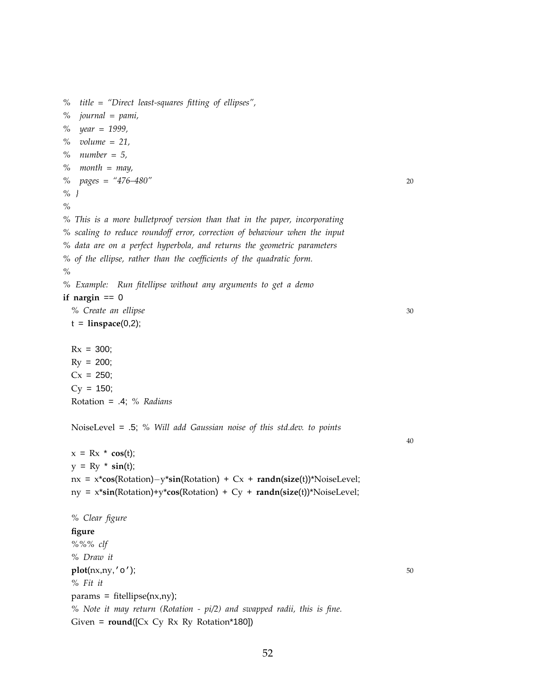*% title = "Direct least-squares fitting of ellipses", % journal = pami, % year = 1999, % volume = 21, % number = 5, % month = may, % pages = "476–480"* 20 *% } % % This is a more bulletproof version than that in the paper, incorporating % scaling to reduce roundoff error, correction of behaviour when the input % data are on a perfect hyperbola, and returns the geometric parameters % of the ellipse, rather than the coefficients of the quadratic form. % % Example: Run fitellipse without any arguments to get a demo*  $if$  nargin == 0 *% Create an ellipse* 30  $t = \text{linspace}(0,2);$  $Rx = 300;$  $Ry = 200$ ;  $Cx = 250;$  $Cy = 150;$ Rotation = .4; *% Radians* NoiseLevel = .5; *% Will add Gaussian noise of this std.dev. to points*  $x = Rx * cos(t);$  $y = Ry * sin(t)$ ; nx = x\***cos**(Rotation)−y\***sin**(Rotation) + Cx + **randn**(**size**(t))\*NoiseLevel; ny = x\***sin**(Rotation)+y\***cos**(Rotation) + Cy + **randn**(**size**(t))\*NoiseLevel; *% Clear figure* **figure** *%%% clf % Draw it* **plot**( $n x, n y, 'o'$ ); 50 *% Fit it*  $params = fit ellipse(nx,ny);$ *% Note it may return (Rotation - pi/2) and swapped radii, this is fine.* Given = **round**([Cx Cy Rx Ry Rotation\*180])

52

40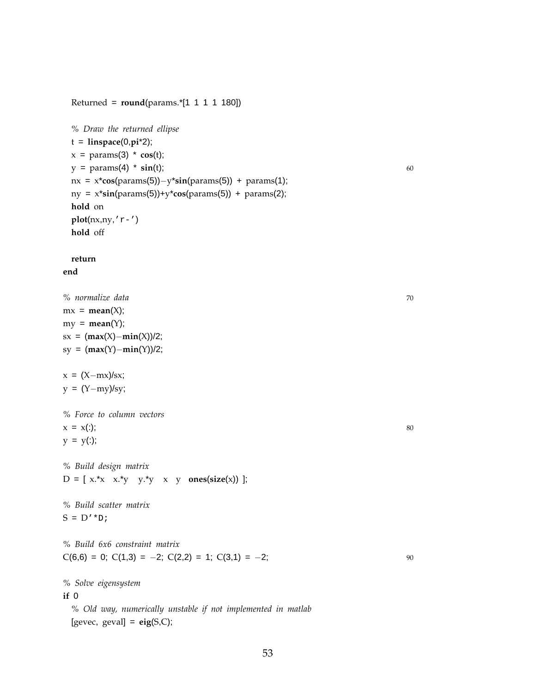```
% Draw the returned ellipse
t = linspace(0,pi*2);
x = params(3) * cos(t);
y = \text{params}(4) * \sin(t); 60
nx = x*cos(params(5))−y*sin(params(5)) + params(1);
ny = x*sin(params(5))+y*cos(params(5)) + params(2);
hold on
plot(nx,ny,'r-')
hold off
```
Returned = **round**(params.\*[1 1 1 1 180])

#### **return**

#### **end**

*% normalize data* 70  $mx = mean(X);$  $my = mean(Y);$ sx = (**max**(X)−**min**(X))/2; sy = (**max**(Y)−**min**(Y))/2;

 $x = (X-mx)/sx;$  $y = (Y - my)/sy;$ 

```
% Force to column vectors
x = x(:); 80
y = y(:);
```
*% Build design matrix* D = [ x.\*x x.\*y y.\*y x y **ones**(**size**(x)) ];

*% Build scatter matrix*  $S = D' * D;$ 

*% Build 6x6 constraint matrix*  $C(6,6) = 0$ ;  $C(1,3) = -2$ ;  $C(2,2) = 1$ ;  $C(3,1) = -2$ ; 90

*% Solve eigensystem*

#### **if** 0

*% Old way, numerically unstable if not implemented in matlab*  $[gevec, geval] = eig(S,C);$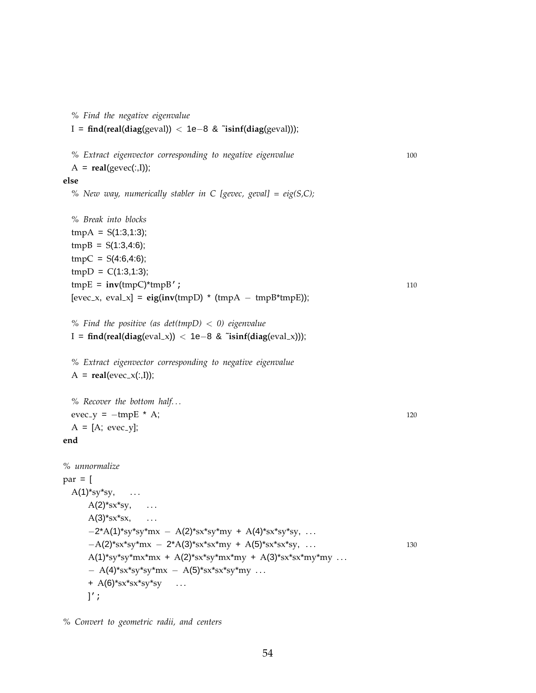```
% Find the negative eigenvalue
 I = find(real(diag(geval)) < 1e−8 & ˜isinf(diag(geval)));
  % Extract eigenvector corresponding to negative eigenvalue 100
  A = real(gevec(:,I));else
  % New way, numerically stabler in C [gevec, geval] = eig(S,C);
  % Break into blocks
  tmpA = S(1:3,1:3);tmpB = S(1:3,4:6);tmpC = S(4:6, 4:6);tmpD = C(1:3,1:3);\text{tmpE} = \text{inv}(\text{tmpC})^* \text{tmpB}'; 110
  [even x, eval_x] = eig(inv(tmpD) * (tmpA - tmpB*tmpE));% Find the positive (as det(tmpD) < 0) eigenvalue
 I = find(real(diag(eval x)) < 1e−8 & ˜isinf(diag(eval x)));
  % Extract eigenvector corresponding to negative eigenvalue
  A = real(evec_x(:,I));% Recover the bottom half. . .
 evec_y = -tmpE * A; 120
  A = [A; evec-y];end
% unnormalize
par = [A(1)*sy*sy, ...
     A(2)*sx*sy, ...
     A(3)*sx*sx, ...
     -2*A(1)*sy*sy*mx - A(2)*sx*sy*my + A(4)*sx*sy*sy, ...-A(2)*sx*sy*mx – 2*A(3)*sx*sx*my + A(5)*sx*sx*sy, ... 130
     A(1)*sy*sy*mx*mx + A(2)*sx*sy*mx*my + A(3)*sx*sx*my*my ...
     - A(4)*sx*sy*sy*mx – A(5)*sx*sx*sy*my ...
     + A(6)<sup>*</sup>sx<sup>*</sup>sx<sup>*</sup>sy<sup>*</sup>sy ...
     ]';
```
*% Convert to geometric radii, and centers*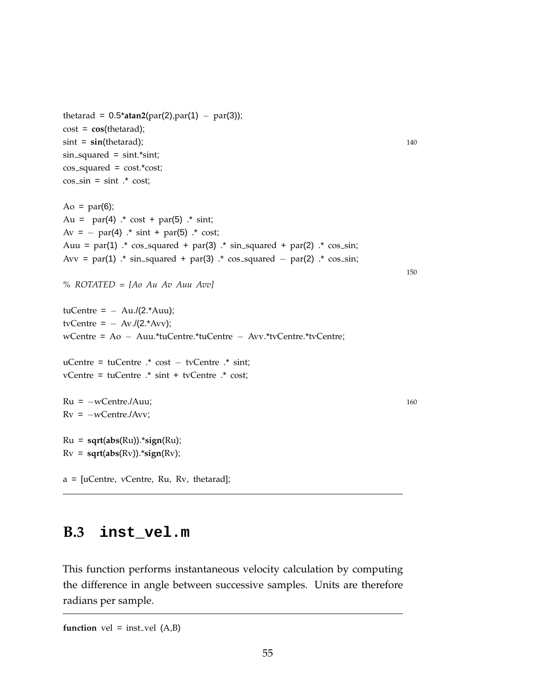```
thetarad = 0.5*atan2(par(2),par(1) – par(3));
cost = cos(thetarad);
\sin t = \sin(\theta); 140
sin squared = sint.*sint;
cos_squared = cost.*cost;\cos-sin = sint \cdot cost;
Ao = par(6);Au = par(4) \cdot cost + par(5) \cdot sint;
Av = - par(4) \cdot sint + par(5) \cdot cost;
Auu = par(1) \cdot cos_squared + par(3) \cdot sin_squared + par(2) \cdot cos_sin;
Avv = par(1) \cdot* sin_squared + par(3) \cdot* cos_squared – par(2) \cdot* cos_sin;
% ROTATED = [Ao Au Av Auu Avv]
tuCentre = - Au/(2.*Auu);tvCentre = - Av./(2.*Avv);
wCentre = Ao − Auu.*tuCentre.*tuCentre − Avv.*tvCentre.*tvCentre;
uCentre = tuCentre .* cost − tvCentre .* sint;
vCentre = tuCentre .* sint + tvCentre .* cost;
Ru = -wCentre.Auu; 160
Rv = -wCentre./Avv;Ru = sqrt(abs(Ru)).*sign(Ru);
Rv = sqrt(abs(Rv)).*sign(Rv);
a = [uCentre, vCentre, Ru, Rv, thetarad];
```
150

### <span id="page-61-0"></span>**B.3 inst\_vel.m**

This function performs instantaneous velocity calculation by computing the difference in angle between successive samples. Units are therefore radians per sample.

**function** vel = inst<sub>vel</sub>  $(A,B)$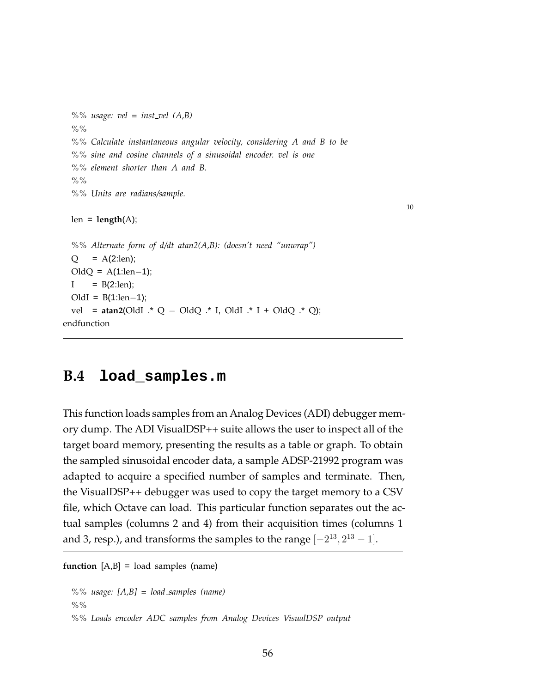```
%% usage: vel = inst vel (A,B)
%%
%% Calculate instantaneous angular velocity, considering A and B to be
%% sine and cosine channels of a sinusoidal encoder. vel is one
%% element shorter than A and B.
%%
%% Units are radians/sample.
```
10

```
len = length(A);
```

```
%% Alternate form of d/dt atan2(A,B): (doesn't need "unwrap")
  Q = A(2:len);OldQ = A(1:len−1);
  I = B(2:len);OldI = B(1:len−1);
  vel = atan2(OldI .* Q − OldQ .* I, OldI .* I + OldQ .* Q);
endfunction
```
### <span id="page-62-0"></span>**B.4 load\_samples.m**

This function loads samples from an Analog Devices (ADI) debugger memory dump. The ADI VisualDSP++ suite allows the user to inspect all of the target board memory, presenting the results as a table or graph. To obtain the sampled sinusoidal encoder data, a sample ADSP-21992 program was adapted to acquire a specified number of samples and terminate. Then, the VisualDSP++ debugger was used to copy the target memory to a CSV file, which Octave can load. This particular function separates out the actual samples (columns 2 and 4) from their acquisition times (columns 1 and 3, resp.), and transforms the samples to the range  $[-2^{13}, 2^{13} - 1]$ .

```
function [A,B] = load samples (name)
```
*%% usage: [A,B] = load samples (name) %% %% Loads encoder ADC samples from Analog Devices VisualDSP output*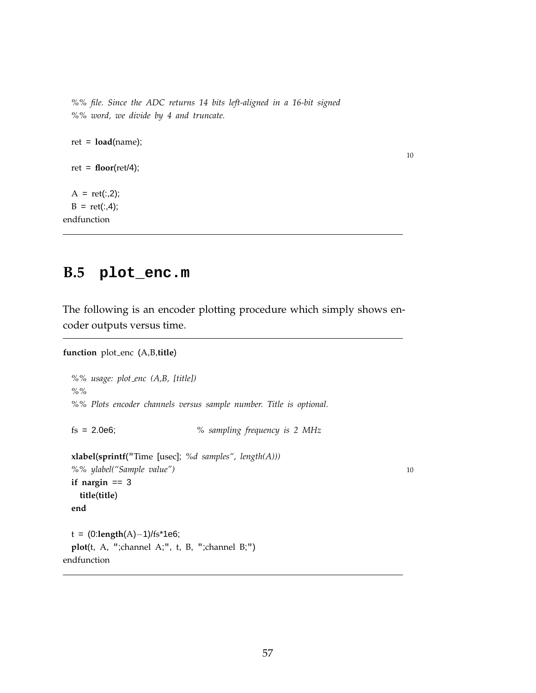*%% file. Since the ADC returns 14 bits left-aligned in a 16-bit signed %% word, we divide by 4 and truncate.*

ret = **load**(name); ret = **floor**(ret/4);  $A = ret(:,2);$  $B = ret(:,4);$ 

endfunction

### <span id="page-63-0"></span>**B.5 plot\_enc.m**

The following is an encoder plotting procedure which simply shows encoder outputs versus time.

```
function plot enc (A,B,title)
```

```
%% usage: plot enc (A,B, [title])
%%
%% Plots encoder channels versus sample number. Title is optional.
fs = 2.0e6; % sampling frequency is 2 MHz
xlabel(sprintf("Time [usec]; %d samples", length(A)))
%% ylabel("Sample value") 10
if nargin == 3
 title(title)
end
t = (0:length(A)−1)/fs*1e6;
plot(t, A, ";channel A;", t, B, ";channel B;")
```

```
endfunction
```
10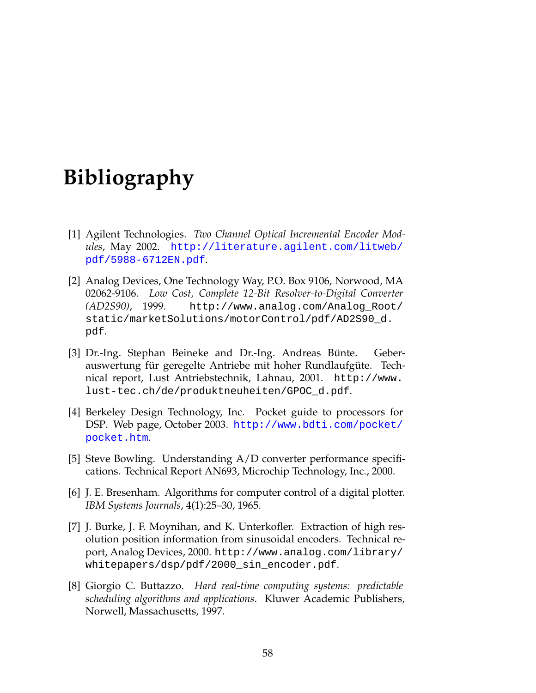## **Bibliography**

- <span id="page-64-0"></span>[1] Agilent Technologies. *Two Channel Optical Incremental Encoder Modules*, May 2002. [http://literature.agilent.com/litweb/](http://literature.agilent.com/litweb/pdf/5988-6712EN.pdf) [pdf/5988-6712EN.pdf](http://literature.agilent.com/litweb/pdf/5988-6712EN.pdf).
- <span id="page-64-3"></span>[2] Analog Devices, One Technology Way, P.O. Box 9106, Norwood, MA 02062-9106. *Low Cost, Complete 12-Bit Resolver-to-Digital Converter (AD2S90)*, 1999. http://www.analog.com/Analog\_Root/ static/marketSolutions/motorControl/pdf/AD2S90\_d. pdf.
- [3] Dr.-Ing. Stephan Beineke and Dr.-Ing. Andreas Bünte. Geberauswertung für geregelte Antriebe mit hoher Rundlaufgüte. Technical report, Lust Antriebstechnik, Lahnau, 2001. http://www. lust-tec.ch/de/produktneuheiten/GPOC\_d.pdf.
- <span id="page-64-1"></span>[4] Berkeley Design Technology, Inc. Pocket guide to processors for DSP. Web page, October 2003. [http://www.bdti.com/pocket/](http://www.bdti.com/pocket/pocket.htm) [pocket.htm](http://www.bdti.com/pocket/pocket.htm).
- [5] Steve Bowling. Understanding A/D converter performance specifications. Technical Report AN693, Microchip Technology, Inc., 2000.
- <span id="page-64-5"></span>[6] J. E. Bresenham. Algorithms for computer control of a digital plotter. *IBM Systems Journals*, 4(1):25–30, 1965.
- <span id="page-64-4"></span>[7] J. Burke, J. F. Moynihan, and K. Unterkofler. Extraction of high resolution position information from sinusoidal encoders. Technical report, Analog Devices, 2000. http://www.analog.com/library/ whitepapers/dsp/pdf/2000\_sin\_encoder.pdf.
- <span id="page-64-2"></span>[8] Giorgio C. Buttazzo. *Hard real-time computing systems: predictable scheduling algorithms and applications*. Kluwer Academic Publishers, Norwell, Massachusetts, 1997.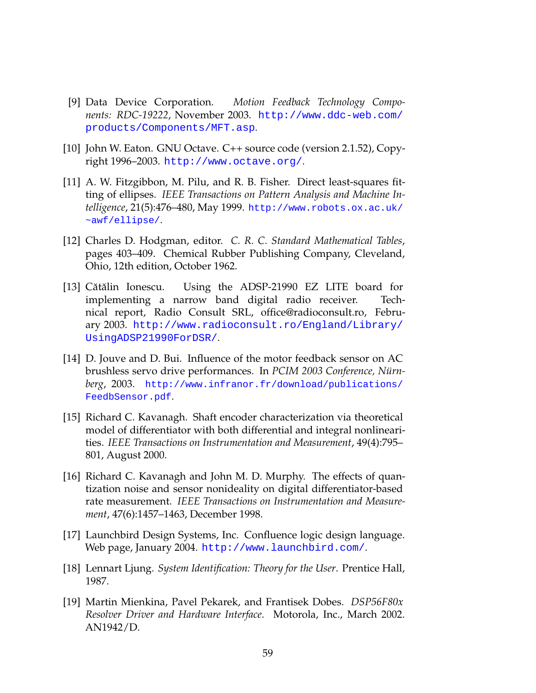- <span id="page-65-2"></span>[9] Data Device Corporation. *Motion Feedback Technology Components: RDC-19222*, November 2003. [http://www.ddc-web.com/](http://www.ddc-web.com/products/Components/MFT.asp) [products/Components/MFT.asp](http://www.ddc-web.com/products/Components/MFT.asp).
- <span id="page-65-8"></span>[10] John W. Eaton. GNU Octave. C++ source code (version 2.1.52), Copyright 1996–2003. <http://www.octave.org/>.
- <span id="page-65-4"></span>[11] A. W. Fitzgibbon, M. Pilu, and R. B. Fisher. Direct least-squares fitting of ellipses. *IEEE Transactions on Pattern Analysis and Machine Intelligence*, 21(5):476–480, May 1999. [http://www.robots.ox.ac.uk/](http://www.robots.ox.ac.uk/~awf/ellipse/) [~awf/ellipse/](http://www.robots.ox.ac.uk/~awf/ellipse/).
- <span id="page-65-7"></span>[12] Charles D. Hodgman, editor. *C. R. C. Standard Mathematical Tables*, pages 403–409. Chemical Rubber Publishing Company, Cleveland, Ohio, 12th edition, October 1962.
- <span id="page-65-6"></span>[13] Cătălin Ionescu. Using the ADSP-21990 EZ LITE board for implementing a narrow band digital radio receiver. Technical report, Radio Consult SRL, office@radioconsult.ro, February 2003. [http://www.radioconsult.ro/England/Library/](http://www.radioconsult.ro/England/Library/UsingADSP21990ForDSR/) [UsingADSP21990ForDSR/](http://www.radioconsult.ro/England/Library/UsingADSP21990ForDSR/).
- [14] D. Jouve and D. Bui. Influence of the motor feedback sensor on AC brushless servo drive performances. In *PCIM 2003 Conference, Nürnberg*, 2003. [http://www.infranor.fr/download/publications/](http://www.infranor.fr/download/publications/FeedbSensor.pdf) [FeedbSensor.pdf](http://www.infranor.fr/download/publications/FeedbSensor.pdf).
- <span id="page-65-3"></span>[15] Richard C. Kavanagh. Shaft encoder characterization via theoretical model of differentiator with both differential and integral nonlinearities. *IEEE Transactions on Instrumentation and Measurement*, 49(4):795– 801, August 2000.
- [16] Richard C. Kavanagh and John M. D. Murphy. The effects of quantization noise and sensor nonideality on digital differentiator-based rate measurement. *IEEE Transactions on Instrumentation and Measurement*, 47(6):1457–1463, December 1998.
- <span id="page-65-0"></span>[17] Launchbird Design Systems, Inc. Confluence logic design language. Web page, January 2004. <http://www.launchbird.com/>.
- <span id="page-65-5"></span>[18] Lennart Ljung. *System Identification: Theory for the User*. Prentice Hall, 1987.
- <span id="page-65-1"></span>[19] Martin Mienkina, Pavel Pekarek, and Frantisek Dobes. *DSP56F80x Resolver Driver and Hardware Interface*. Motorola, Inc., March 2002. AN1942/D.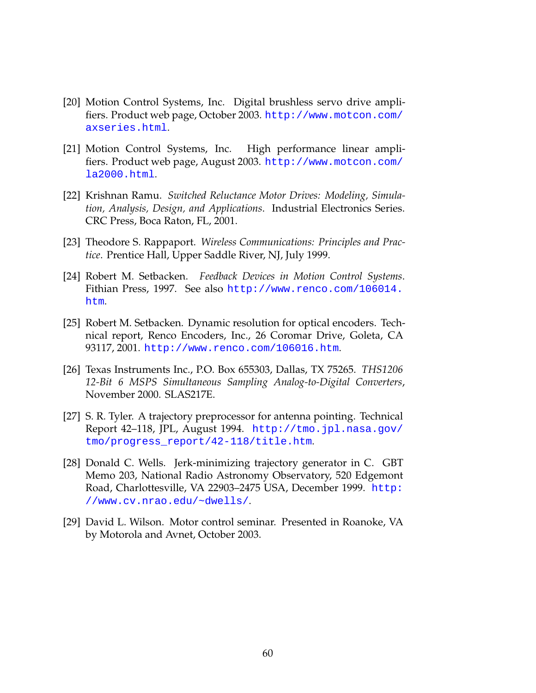- <span id="page-66-1"></span>[20] Motion Control Systems, Inc. Digital brushless servo drive amplifiers. Product web page, October 2003. [http://www.motcon.com/](http://www.motcon.com/axseries.html) [axseries.html](http://www.motcon.com/axseries.html).
- <span id="page-66-0"></span>[21] Motion Control Systems, Inc. High performance linear amplifiers. Product web page, August 2003. [http://www.motcon.com/](http://www.motcon.com/la2000.html) [la2000.html](http://www.motcon.com/la2000.html).
- <span id="page-66-4"></span>[22] Krishnan Ramu. *Switched Reluctance Motor Drives: Modeling, Simulation, Analysis, Design, and Applications*. Industrial Electronics Series. CRC Press, Boca Raton, FL, 2001.
- <span id="page-66-6"></span>[23] Theodore S. Rappaport. *Wireless Communications: Principles and Practice*. Prentice Hall, Upper Saddle River, NJ, July 1999.
- <span id="page-66-5"></span>[24] Robert M. Setbacken. *Feedback Devices in Motion Control Systems*. Fithian Press, 1997. See also [http://www.renco.com/106014.](http://www.renco.com/106014.htm) [htm](http://www.renco.com/106014.htm).
- [25] Robert M. Setbacken. Dynamic resolution for optical encoders. Technical report, Renco Encoders, Inc., 26 Coromar Drive, Goleta, CA 93117, 2001. <http://www.renco.com/106016.htm>.
- <span id="page-66-7"></span>[26] Texas Instruments Inc., P.O. Box 655303, Dallas, TX 75265. *THS1206 12-Bit 6 MSPS Simultaneous Sampling Analog-to-Digital Converters*, November 2000. SLAS217E.
- <span id="page-66-2"></span>[27] S. R. Tyler. A trajectory preprocessor for antenna pointing. Technical Report 42–118, JPL, August 1994. [http://tmo.jpl.nasa.gov/](http://tmo.jpl.nasa.gov/tmo/progress_report/42-118/title.htm) [tmo/progress\\_report/42-118/title.htm](http://tmo.jpl.nasa.gov/tmo/progress_report/42-118/title.htm).
- <span id="page-66-3"></span>[28] Donald C. Wells. Jerk-minimizing trajectory generator in C. GBT Memo 203, National Radio Astronomy Observatory, 520 Edgemont Road, Charlottesville, VA 22903–2475 USA, December 1999. [http:](http://www.cv.nrao.edu/~dwells/) [//www.cv.nrao.edu/~dwells/](http://www.cv.nrao.edu/~dwells/).
- <span id="page-66-8"></span>[29] David L. Wilson. Motor control seminar. Presented in Roanoke, VA by Motorola and Avnet, October 2003.